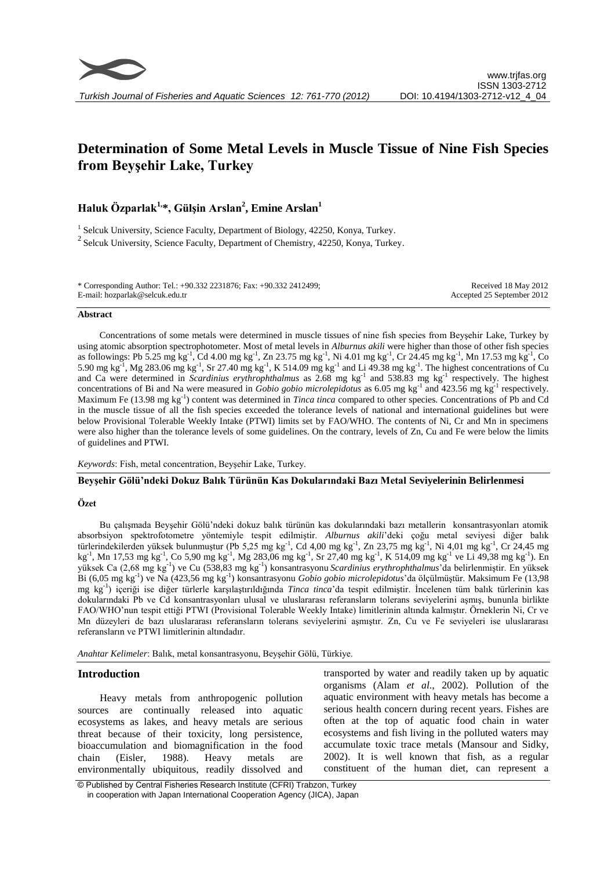

# **Determination of Some Metal Levels in Muscle Tissue of Nine Fish Species from Beyşehir Lake, Turkey**

# **Haluk Özparlak1,\*, Gülşin Arslan<sup>2</sup> , Emine Arslan<sup>1</sup>**

<sup>1</sup> Selcuk University, Science Faculty, Department of Biology, 42250, Konya, Turkey.  $2$  Selcuk University, Science Faculty, Department of Chemistry, 42250, Konya, Turkey.

\* Corresponding Author: Tel.: +90.332 2231876; Fax: +90.332 2412499; E-mail: hozparlak@selcuk.edu.tr Received 18 May 2012 Accepted 25 September 2012

#### **Abstract**

Concentrations of some metals were determined in muscle tissues of nine fish species from Beyşehir Lake, Turkey by using atomic absorption spectrophotometer. Most of metal levels in *Alburnus akili* were higher than those of other fish species as followings: Pb 5.25 mg kg<sup>-1</sup>, Cd 4.00 mg kg<sup>-1</sup>, Zn 23.75 mg kg<sup>-1</sup>, Ni 4.01 mg kg<sup>-1</sup>, Cr 24.45 mg kg<sup>-1</sup>, Mn 17.53 mg kg<sup>-1</sup>, Co 5.90 mg kg<sup>-1</sup>, Mg 283.06 mg kg<sup>-1</sup>, Sr 27.40 mg kg<sup>-1</sup>, K 514.09 mg kg<sup>-1</sup> and Li 49.38 mg kg<sup>-1</sup>. The highest concentrations of Cu and Ca were determined in *Scardinius erythrophthalmus* as 2.68 mg kg<sup>-1</sup> and 538.83 mg kg<sup>-1</sup> respectively. The highest concentrations of Bi and Na were measured in *Gobio gobio microlepidotus* as 6.05 mg kg<sup>-1</sup> and 423.56 mg kg<sup>-1</sup> respectively. Maximum Fe (13.98 mg kg-1 ) content was determined in *Tinca tinca* compared to other species. Concentrations of Pb and Cd in the muscle tissue of all the fish species exceeded the tolerance levels of national and international guidelines but were below Provisional Tolerable Weekly Intake (PTWI) limits set by FAO/WHO. The contents of Ni, Cr and Mn in specimens were also higher than the tolerance levels of some guidelines. On the contrary, levels of Zn, Cu and Fe were below the limits of guidelines and PTWI.

*Keywords*: Fish, metal concentration, Beyşehir Lake, Turkey.

#### **Beyşehir Gölü'ndeki Dokuz Balık Türünün Kas Dokularındaki Bazı Metal Seviyelerinin Belirlenmesi**

#### **Özet**

Bu çalışmada Beyşehir Gölü'ndeki dokuz balık türünün kas dokularındaki bazı metallerin konsantrasyonları atomik absorbsiyon spektrofotometre yöntemiyle tespit edilmiştir. *Alburnus akili*'deki çoğu metal seviyesi diğer balık türlerindekilerden yüksek bulunmuştur (Pb 5,25 mg kg<sup>-1</sup>, Cd 4,00 mg kg<sup>-1</sup>, Zn 23,75 mg kg<sup>-1</sup>, Ni 4,01 mg kg<sup>-1</sup>, Cr 24,45 mg kg<sup>-1</sup>, Mn 17,53 mg kg<sup>-1</sup>, Co 5,90 mg kg<sup>-1</sup>, Mg 283,06 mg kg<sup>-1</sup>, Sr 27,40 mg kg<sup>-1</sup>, K 514,09 mg kg<sup>-1</sup> ve Li 49,38 mg kg<sup>-1</sup>). En yüksek Ca (2,68 mg kg<sup>-1</sup>) ve Cu (538,83 mg kg<sup>-1</sup>) konsantrasyonu *Scardinius erythrophthalmus*'da belirlenmiştir. En yüksek Bi (6,05 mg kg-1 ) ve Na (423,56 mg kg-1 ) konsantrasyonu *Gobio gobio microlepidotus*'da ölçülmüştür. Maksimum Fe (13,98 mg kg-1 ) içeriği ise diğer türlerle karşılaştırıldığında *Tinca tinca*'da tespit edilmiştir. İncelenen tüm balık türlerinin kas dokularındaki Pb ve Cd konsantrasyonları ulusal ve uluslararası referansların tolerans seviyelerini aşmış, bununla birlikte FAO/WHO'nun tespit ettiği PTWI (Provisional Tolerable Weekly Intake) limitlerinin altında kalmıştır. Örneklerin Ni, Cr ve Mn düzeyleri de bazı uluslararası referansların tolerans seviyelerini aşmıştır. Zn, Cu ve Fe seviyeleri ise uluslararası referansların ve PTWI limitlerinin altındadır.

*Anahtar Kelimeler*: Balık, metal konsantrasyonu, Beyşehir Gölü, Türkiye.

#### **Introduction**

Heavy metals from anthropogenic pollution sources are continually released into aquatic ecosystems as lakes, and heavy metals are serious threat because of their toxicity, long persistence, bioaccumulation and biomagnification in the food chain (Eisler, 1988). Heavy metals are environmentally ubiquitous, readily dissolved and

transported by water and readily taken up by aquatic organisms (Alam *et al*., 2002). Pollution of the aquatic environment with heavy metals has become a serious health concern during recent years. Fishes are often at the top of aquatic food chain in water ecosystems and fish living in the polluted waters may accumulate toxic trace metals (Mansour and Sidky, 2002). It is well known that fish, as a regular constituent of the human diet, can represent a

© Published by Central Fisheries Research Institute (CFRI) Trabzon, Turkey in cooperation with Japan International Cooperation Agency (JICA), Japan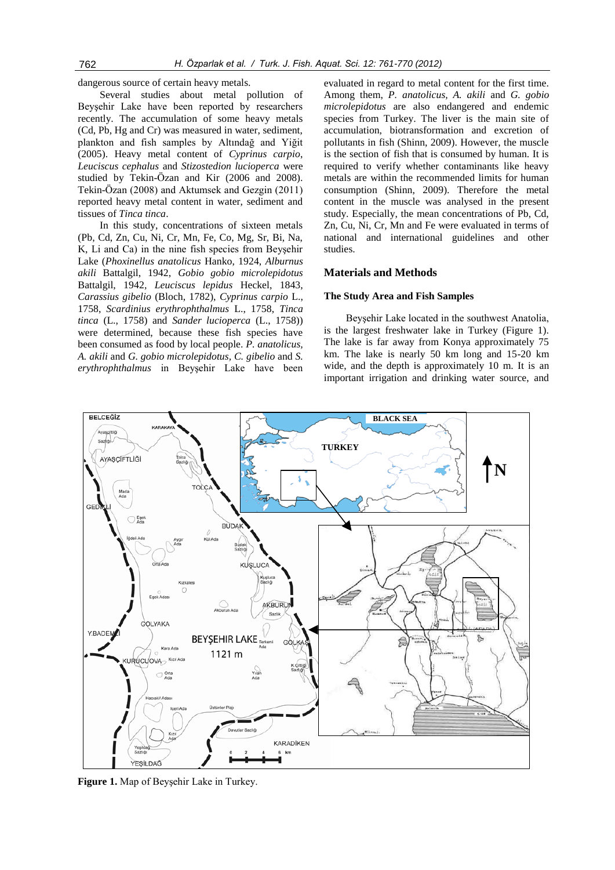dangerous source of certain heavy metals.

Several studies about metal pollution of Beyşehir Lake have been reported by researchers recently. The accumulation of some heavy metals (Cd, Pb, Hg and Cr) was measured in water, sediment, plankton and fish samples by Altındağ and Yiğit (2005). Heavy metal content of *Cyprinus carpio*, *Leuciscus cephalus* and *Stizostedion lucioperca* were studied by Tekin-Özan and Kir (2006 and 2008). Tekin-Özan (2008) and Aktumsek and Gezgin (2011) reported heavy metal content in water, sediment and tissues of *Tinca tinca*.

In this study, concentrations of sixteen metals (Pb, Cd, Zn, Cu, Ni, Cr, Mn, Fe, Co, Mg, Sr, Bi, Na, K, Li and Ca) in the nine fish species from Beyşehir Lake (*Phoxinellus anatolicus* Hanko, 1924, *Alburnus akili* Battalgil, 1942, *Gobio gobio microlepidotus*  Battalgil, 1942*, Leuciscus lepidus* Heckel, 1843, *Carassius gibelio* (Bloch, 1782), *Cyprinus carpio* L., 1758, *Scardinius erythrophthalmus* L., 1758, *Tinca tinca* (L., 1758) and *Sander lucioperca* (L., 1758)) were determined, because these fish species have been consumed as food by local people. *P. anatolicus, A. akili* and *G. gobio microlepidotus, C. gibelio* and *S. erythrophthalmus* in Beyşehir Lake have been evaluated in regard to metal content for the first time. Among them, *P. anatolicus, A. akili* and *G. gobio microlepidotus* are also endangered and endemic species from Turkey. The liver is the main site of accumulation, biotransformation and excretion of pollutants in fish (Shinn, 2009). However, the muscle is the section of fish that is consumed by human. It is required to verify whether contaminants like heavy metals are within the recommended limits for human consumption (Shinn, 2009). Therefore the metal content in the muscle was analysed in the present study. Especially, the mean concentrations of Pb, Cd, Zn, Cu, Ni, Cr, Mn and Fe were evaluated in terms of national and international guidelines and other studies.

#### **Materials and Methods**

#### **The Study Area and Fish Samples**

Beyşehir Lake located in the southwest Anatolia, is the largest freshwater lake in Turkey (Figure 1). The lake is far away from Konya approximately 75 km. The lake is nearly 50 km long and 15-20 km wide, and the depth is approximately 10 m. It is an important irrigation and drinking water source, and



**Figure 1.** Map of Beyşehir Lake in Turkey.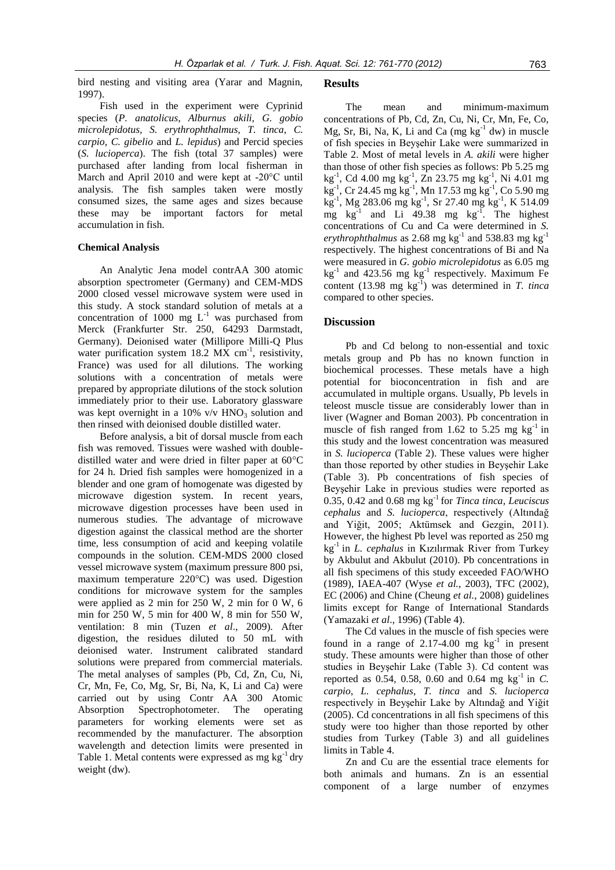bird nesting and visiting area (Yarar and Magnin, 1997).

Fish used in the experiment were Cyprinid species (*P. anatolicus*, *Alburnus akili, G. gobio microlepidotus, S. erythrophthalmus, T. tinca*, *C. carpio*, *C. gibelio* and *L. lepidus*) and Percid species (*S. lucioperca*). The fish (total 37 samples) were purchased after landing from local fisherman in March and April 2010 and were kept at -20°C until analysis. The fish samples taken were mostly consumed sizes, the same ages and sizes because these may be important factors for metal accumulation in fish.

#### **Chemical Analysis**

An Analytic Jena model contrAA 300 atomic absorption spectrometer (Germany) and CEM-MDS 2000 closed vessel microwave system were used in this study. A stock standard solution of metals at a concentration of 1000 mg  $L^{-1}$  was purchased from Merck (Frankfurter Str. 250, 64293 Darmstadt, Germany). Deionised water (Millipore Milli-Q Plus water purification system  $18.2$  MX cm<sup>-1</sup>, resistivity, France) was used for all dilutions. The working solutions with a concentration of metals were prepared by appropriate dilutions of the stock solution immediately prior to their use. Laboratory glassware was kept overnight in a 10% v/v  $HNO<sub>3</sub>$  solution and then rinsed with deionised double distilled water.

Before analysis, a bit of dorsal muscle from each fish was removed. Tissues were washed with doubledistilled water and were dried in filter paper at 60°C for 24 h. Dried fish samples were homogenized in a blender and one gram of homogenate was digested by microwave digestion system. In recent years, microwave digestion processes have been used in numerous studies. The advantage of microwave digestion against the classical method are the shorter time, less consumption of acid and keeping volatile compounds in the solution. CEM-MDS 2000 closed vessel microwave system (maximum pressure 800 psi, maximum temperature 220°C) was used. Digestion conditions for microwave system for the samples were applied as 2 min for 250 W, 2 min for 0 W, 6 min for 250 W, 5 min for 400 W, 8 min for 550 W, ventilation: 8 min (Tuzen *et al*., 2009). After digestion, the residues diluted to 50 mL with deionised water. Instrument calibrated standard solutions were prepared from commercial materials. The metal analyses of samples (Pb, Cd, Zn, Cu, Ni, Cr, Mn, Fe, Co, Mg, Sr, Bi, Na, K, Li and Ca) were carried out by using Contr AA 300 Atomic Absorption Spectrophotometer. The operating parameters for working elements were set as recommended by the manufacturer. The absorption wavelength and detection limits were presented in Table 1. Metal contents were expressed as mg  $kg^{-1}$  dry weight (dw).

#### **Results**

The mean and minimum-maximum concentrations of Pb, Cd, Zn, Cu, Ni, Cr, Mn, Fe, Co, Mg, Sr, Bi, Na, K, Li and Ca  $(mg kg<sup>-1</sup> dw)$  in muscle of fish species in Beyşehir Lake were summarized in Table 2. Most of metal levels in *A. akili* were higher than those of other fish species as follows: Pb 5.25 mg kg-1 , Cd 4.00 mg kg-1 , Zn 23.75 mg kg-1 , Ni 4.01 mg kg-1 , Cr 24.45 mg kg-1 , Mn 17.53 mg kg-1 , Co 5.90 mg  $kg^{-1}$ , Mg 283.06 mg kg<sup>-1</sup>, Sr 27.40 mg kg<sup>-1</sup>, K 514.09 mg  $kg^{-1}$  and Li 49.38 mg  $kg^{-1}$ . The highest concentrations of Cu and Ca were determined in *S.*   $e$ rythrophthalmus as 2.68 mg kg<sup>-1</sup> and 538.83 mg kg<sup>-1</sup> respectively. The highest concentrations of Bi and Na were measured in *G. gobio microlepidotus* as 6.05 mg  $kg^{-1}$  and 423.56 mg  $kg^{-1}$  respectively. Maximum Fe content  $(13.98 \text{ mg kg}^{-1})$  was determined in *T. tinca* compared to other species.

#### **Discussion**

Pb and Cd belong to non-essential and toxic metals group and Pb has no known function in biochemical processes. These metals have a high potential for bioconcentration in fish and are accumulated in multiple organs. Usually, Pb levels in teleost muscle tissue are considerably lower than in liver (Wagner and Boman 2003). Pb concentration in muscle of fish ranged from 1.62 to 5.25 mg  $kg^{-1}$  in this study and the lowest concentration was measured in *S. lucioperca* (Table 2). These values were higher than those reported by other studies in Beyşehir Lake (Table 3). Pb concentrations of fish species of Beyşehir Lake in previous studies were reported as 0.35, 0.42 and 0.68 mg kg-1 for *Tinca tinca*, *Leuciscus cephalus* and *S. lucioperca*, respectively (Altındağ and Yiğit, 2005; Aktümsek and Gezgin, 2011). However, the highest Pb level was reported as 250 mg kg-1 in *L. cephalus* in Kızılırmak River from Turkey by Akbulut and Akbulut (2010). Pb concentrations in all fish specimens of this study exceeded FAO/WHO (1989), IAEA-407 (Wyse *et al.*, 2003), TFC (2002), EC (2006) and Chine (Cheung *et al.*, 2008) guidelines limits except for Range of International Standards (Yamazaki *et al*., 1996) (Table 4).

The Cd values in the muscle of fish species were found in a range of 2.17-4.00 mg  $kg^{-1}$  in present study. These amounts were higher than those of other studies in Beyşehir Lake (Table 3). Cd content was reported as  $0.54$ ,  $0.58$ ,  $0.60$  and  $0.64$  mg kg<sup>-1</sup> in *C*. *carpio*, *L. cephalus*, *T. tinca* and *S. lucioperca* respectively in Beyşehir Lake by Altındağ and Yiğit (2005). Cd concentrations in all fish specimens of this study were too higher than those reported by other studies from Turkey (Table 3) and all guidelines limits in Table 4.

Zn and Cu are the essential trace elements for both animals and humans. Zn is an essential component of a large number of enzymes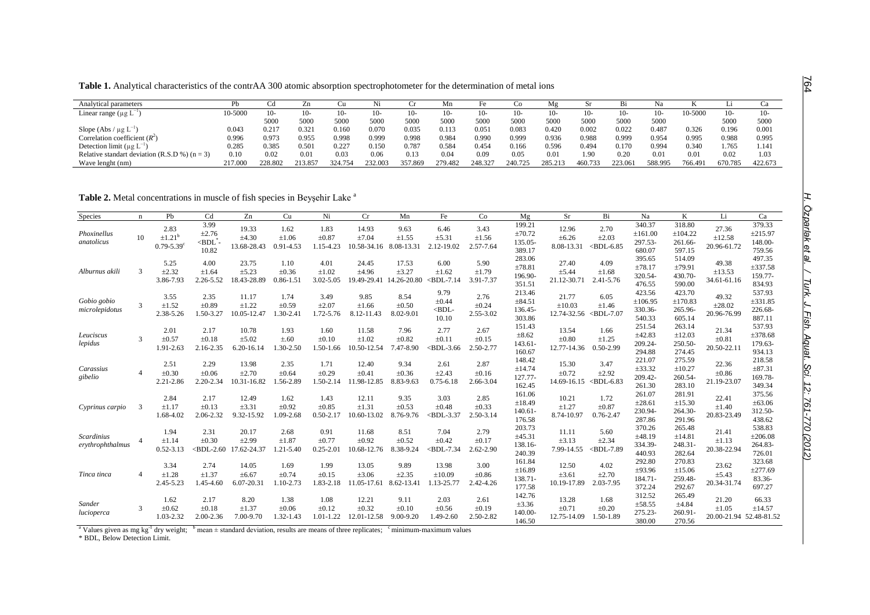**Table 1.** Analytical characteristics of the contrAA 300 atomic absorption spectrophotometer for the determination of metal ions

| Analytical parameters                             |            |         | Zn      |         | N1      |         | Мn      |         | CΟ      | M₫      | Sr      |         | Na      |         |         |         |
|---------------------------------------------------|------------|---------|---------|---------|---------|---------|---------|---------|---------|---------|---------|---------|---------|---------|---------|---------|
| Linear range $(\mu g L^{-1})$                     | $0 - 5000$ | $10-$   | 10-     | -01     | ∡U-     | 10-     | 10-     |         |         | 10-     | $10-$   | 10-     |         | 10-5000 | 10-     | 10-     |
|                                                   |            | 5000    | 5000    | 5000    | 5000    | 5000    | 5000    | 500     | 5000    | 5000    | 5000    | 5000    | 5000    |         | 5000    | 5000    |
| Slope (Abs / $\mu$ g L <sup>-1</sup> )            | 0.043      | 0.217   | 0.321   | 0.160   | 0.070   | 0.035   | 0.113   | 0.05    | 0.083   | 0.420   | 0.002   | 0.022   | 0.487   | 0.326   | 0.196   | 0.001   |
| Correlation coefficient $(R^2)$                   | 0.996      | 0.973   | 0.955   | 0.998   | 0.999   | 0.998   | 0.984   | 0.990   | 0.999   | 0.936   | 0.988   | 0.999   | 0.954   | 0.995   | 0.988   | 0.995   |
| Detection limit ( $\mu$ g L <sup>-1</sup>         | 0.285      | 0.385   | 0.501   | 0.227   | 0.150   | 0.787   | 0.584   | 0.454   | 0.166   | 0.596   | 0.494   | 0.170   | 0.994   | 0.340   | .765    | 1.14    |
| Relative standart deviation (R.S.D %) ( $n = 3$ ) | 0.10       | 0.02    | 0.01    | 0.03    | 0.06    | 0.13    | 0.04    | 0.09    | 0.05    | 0.01    | 1.90    | 0.20    | 0.01    | 0.01    | 0.02    | 1.03    |
| Wave lenght (nm)                                  | 217.000    | 228.802 | 213.857 | 324.754 | 232.003 | 357.869 | 279.482 | 248.327 | 240.725 | 285.213 | 460.733 | 223.061 | 588.995 | 766.491 | 670.785 | 422.673 |

Table 2. Metal concentrations in muscle of fish species in Beyşehir Lake <sup>a</sup>

| Species                        | $\mathbf n$   | Pb                                                            | Cd                                             | Zn                                    | Cu                                  | Ni                                  | Cr                                 | Mn                               | Fe                                       | Co                              | Mg                                        | Sr                                  | Bi                                       | Na                                     | K                                          | Li                                             | Ca                                     |
|--------------------------------|---------------|---------------------------------------------------------------|------------------------------------------------|---------------------------------------|-------------------------------------|-------------------------------------|------------------------------------|----------------------------------|------------------------------------------|---------------------------------|-------------------------------------------|-------------------------------------|------------------------------------------|----------------------------------------|--------------------------------------------|------------------------------------------------|----------------------------------------|
| Phoxinellus<br>anatolicus      | 10            | 2.83<br>$\pm$ 1.21 <sup>b</sup><br>$0.79 - 5.39$ <sup>c</sup> | 3.99<br>$\pm 2.76$<br>$\leq$ BDL $^*$<br>10.82 | 19.33<br>$\pm 4.30$<br>13.68-28.43    | 1.62<br>$\pm 1.06$<br>$0.91 - 4.53$ | 1.83<br>$\pm 0.87$<br>1.15-4.23     | 14.93<br>±7.04<br>10.58-34.16      | 9.63<br>$\pm 1.55$<br>8.08-13.31 | 6.46<br>±5.31<br>2.12-19.02              | 3.43<br>±1.56<br>2.57-7.64      | 199.21<br>±70.72<br>135.05-<br>389.17     | 12.96<br>$\pm 6.26$<br>8.08-13.31   | 2.70<br>$\pm 2.03$<br>$\langle BDL-6.85$ | 340.37<br>±161.00<br>297.53-<br>680.07 | 318.80<br>±104.22<br>261.66-<br>597.15     | 27.36<br>±12.58<br>20.96-61.72                 | 379.33<br>±215.97<br>148.00-<br>759.56 |
| Alburnus akili                 | $\mathcal{R}$ | 5.25<br>±2.32<br>3.86-7.93                                    | 4.00<br>±1.64<br>2.26-5.52                     | 23.75<br>±5.23<br>18.43-28.89         | 1.10<br>$\pm 0.36$<br>$0.86 - 1.5$  | 4.01<br>$\pm 1.02$<br>$3.02 - 5.05$ | 24.45<br>±4.96<br>19.49-29.41      | 17.53<br>±3.27<br>14.26-20.80    | 6.00<br>±1.62<br><b>BDL-7.14</b>         | 5.90<br>±1.79<br>3.91-7.37      | 283.06<br>±78.81<br>196.90-<br>351.51     | 27.40<br>±5.44<br>21.12-30.71       | 4.09<br>±1.68<br>2.41-5.76               | 395.65<br>±78.17<br>320.54-<br>476.55  | 514.09<br>±79.91<br>430.70-<br>590.00      | 49.38<br>±13.53<br>34.61-61.16                 | 497.35<br>±337.58<br>159.77-<br>834.93 |
| Gobio gobio<br>microlepidotus  |               | 3.55<br>±1.52<br>2.38-5.26                                    | 2.35<br>$\pm 0.89$<br>1.50-3.27                | 11.17<br>$\pm 1.22$<br>10.05-12.47    | 1.74<br>$\pm 0.59$<br>$.30 - 2.41$  | 3.49<br>$\pm 2.07$<br>1.72-5.76     | 9.85<br>$\pm 1.66$<br>8.12-11.43   | 8.54<br>$\pm 0.50$<br>8.02-9.01  | 9.79<br>$\pm 0.44$<br>$<$ BDL-<br>10.10  | 2.76<br>$\pm 0.24$<br>2.55-3.02 | 213.46<br>±84.51<br>136.45-<br>303.86     | 21.77<br>$\pm 10.03$<br>12.74-32.56 | 6.05<br>±1.46<br>$\langle BDL-7.07$      | 423.56<br>±106.95<br>330.36-<br>540.33 | 423.70<br>±170.83<br>265.96-<br>605.14     | 49.32<br>$\pm 28.02$<br>20.96-76.99            | 537.93<br>±331.85<br>226.68-<br>887.11 |
| Leuciscus<br>lepidus           | $\mathcal{R}$ | 2.01<br>$\pm 0.57$<br>1.91-2.63                               | 2.17<br>$\pm 0.18$<br>2.16-2.35                | 10.78<br>$\pm$ 5.02<br>$6.20 - 16.14$ | 1.93<br>$\pm .60$<br>1.30-2.50      | 1.60<br>$\pm 0.10$<br>1.50-1.66     | 11.58<br>$\pm 1.02$<br>10.50-12.54 | 7.96<br>$\pm 0.82$<br>7.47-8.90  | 2.77<br>$\pm 0.11$<br>$<$ BDL-3.66       | 2.67<br>$\pm 0.15$<br>2.50-2.77 | 151.43<br>$\pm 8.62$<br>143.61-<br>160.67 | 13.54<br>$\pm 0.80$<br>12.77-14.36  | 1.66<br>±1.25<br>0.50-2.99               | 251.54<br>±42.83<br>209.24-<br>294.88  | 263.14<br>±12.03<br>250.50-<br>274.45      | 21.34<br>$\pm 0.81$<br>20.50-22.1              | 537.93<br>±378.68<br>179.63-<br>934.13 |
| Carassius<br>gibelio           |               | 2.51<br>$\pm 0.30$<br>2.21-2.86                               | 2.29<br>$\pm 0.06$<br>2.20-2.34                | 13.98<br>$\pm 2.70$<br>10.31-16.82    | 2.35<br>$\pm 0.64$<br>.56-2.89      | 1.71<br>$\pm 0.29$<br>1.50-2.14     | 12.40<br>$\pm 0.41$<br>11.98-12.85 | 9.34<br>$\pm 0.36$<br>8.83-9.63  | 2.61<br>$\pm 2.43$<br>$0.75 - 6.18$      | 2.87<br>$\pm 0.16$<br>2.66-3.04 | 148.42<br>±14.74<br>127.77-<br>162.45     | 15.30<br>$\pm 0.72$<br>14.69-16.15  | 3.47<br>±2.92<br>$<$ BDL-6.83            | 221.07<br>±33.32<br>209.42-<br>261.30  | 275.59<br>$\pm 10.27$<br>260.54-<br>283.10 | 22.36<br>$\pm 0.86$<br>21.19-23.07             | 218.58<br>±87.31<br>169.78-<br>349.34  |
| Cyprinus carpio                |               | 2.84<br>$\pm 1.17$<br>1.68-4.02                               | 2.17<br>$\pm 0.13$<br>2.06-2.32                | 12.49<br>±3.31<br>9.32-15.92          | 1.62<br>$\pm 0.92$<br>1.09-2.68     | 1.43<br>$\pm 0.85$<br>$0.50 - 2.17$ | 12.11<br>$\pm 1.31$<br>10.60-13.02 | 9.35<br>$\pm 0.53$<br>8.76-9.76  | 3.03<br>$\pm 0.48$<br>$\langle BDL-3.37$ | 2.85<br>$\pm 0.33$<br>2.50-3.14 | 161.06<br>±18.49<br>140.61-<br>176.58     | 10.21<br>±1.27<br>8.74-10.97        | 1.72<br>$\pm 0.87$<br>$0.76 - 2.47$      | 261.07<br>±28.61<br>230.94-<br>287.86  | 281.91<br>±15.30<br>264.30-<br>291.96      | 22.41<br>$\pm 1.40$<br>20.83-23.49             | 375.56<br>±63.06<br>312.50-<br>438.62  |
| Scardinius<br>erythrophthalmus |               | 1.94<br>±1.14<br>$0.52 - 3.13$                                | 2.31<br>$\pm 0.30$<br>$\langle BDL-2.60$       | 20.17<br>±2.99<br>17.62-24.37         | 2.68<br>$\pm 1.87$<br>1.21-5.40     | 0.91<br>$\pm 0.77$<br>$0.25 - 2.01$ | 11.68<br>$\pm 0.92$<br>10.68-12.76 | 8.51<br>$\pm 0.52$<br>8.38-9.24  | 7.04<br>$\pm 0.42$<br>$<$ BDL-7.34       | 2.79<br>$\pm 0.17$<br>2.62-2.90 | 203.73<br>±45.31<br>138.16-<br>240.39     | 11.11<br>$\pm 3.13$<br>7.99-14.55   | 5.60<br>$\pm 2.34$<br>$<$ BDL-7.89       | 370.26<br>±48.19<br>334.39-<br>440.93  | 265.48<br>±14.81<br>248.31-<br>282.64      | 21.41<br>±1.13<br>20.38-22.94                  | 538.83<br>±206.08<br>264.83-<br>726.01 |
| Tinca tinca                    |               | 3.34<br>$\pm 1.28$<br>2.45-5.23                               | 2.74<br>$\pm 1.37$<br>1.45-4.60                | 14.05<br>$\pm 6.67$<br>6.07-20.31     | 1.69<br>$\pm 0.74$<br>1.10-2.73     | 1.99<br>$\pm 0.15$<br>1.83-2.18     | 13.05<br>$\pm 3.06$<br>11.05-17.61 | 9.89<br>$\pm 2.35$<br>8.62-13.41 | 13.98<br>±10.09<br>.13-25.77             | 3.00<br>$\pm 0.86$<br>2.42-4.26 | 161.84<br>±16.89<br>138.71-<br>177.58     | 12.50<br>$\pm 3.61$<br>10.19-17.89  | 4.02<br>$\pm 2.70$<br>2.03-7.95          | 292.80<br>±93.96<br>184.71-<br>372.24  | 270.83<br>$\pm 15.06$<br>259.48-<br>292.67 | 23.62<br>±5.43<br>20.34-31.74                  | 323.68<br>±277.69<br>83.36-<br>697.27  |
| Sander<br>lucioperca           | 3             | 1.62<br>$\pm 0.62$<br>1.03-2.32                               | 2.17<br>$\pm 0.18$<br>2.00-2.36                | 8.20<br>±1.37<br>7.00-9.70            | 1.38<br>$\pm 0.06$<br>1.32-1.43     | 1.08<br>$\pm 0.12$<br>1.01-1.22     | 12.21<br>$\pm 0.32$<br>12.01-12.58 | 9.11<br>$\pm 0.10$<br>9.00-9.20  | 2.03<br>$\pm 0.56$<br>1.49-2.60          | 2.61<br>$\pm 0.19$<br>2.50-2.82 | 142.76<br>$\pm 3.36$<br>140.00-<br>146.50 | 13.28<br>$\pm 0.71$<br>12.75-14.09  | 1.68<br>$\pm 0.20$<br>1.50-1.89          | 312.52<br>±58.55<br>275.23-<br>380.00  | 265.49<br>±4.84<br>260.91<br>270.56        | 21.20<br>$\pm 1.05$<br>20.00-21.94 52.48-81.52 | 66.33<br>±14.57                        |

<sup>a</sup> Values given as mg kg<sup>-1</sup> dry weight; <sup>b</sup> mean  $\pm$  standard deviation, results are means of three replicates; cominimum-maximum values

\* BDL, Below Detection Limit.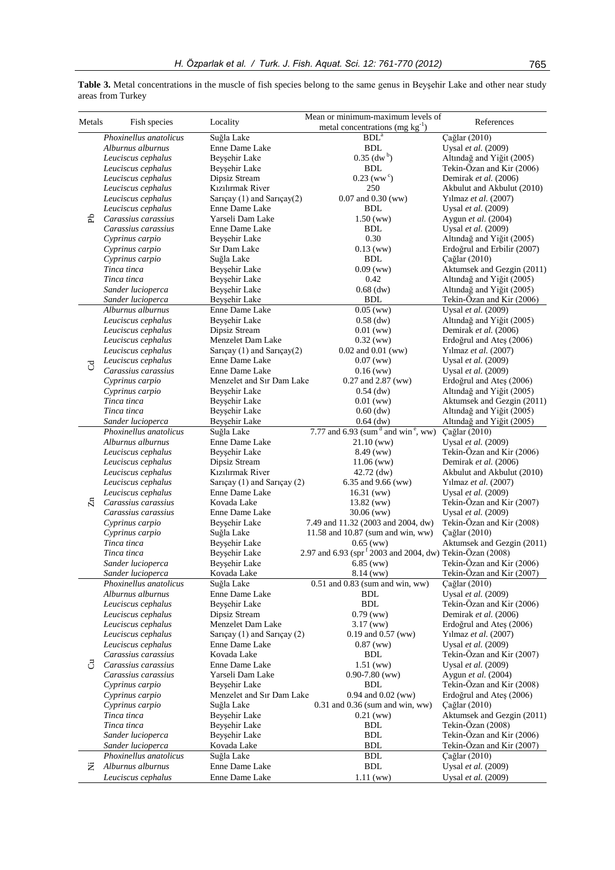| Phoxinellus anatolicus<br>Çağlar (2010)<br>Suğla Lake<br>BDL <sup>a</sup><br>Alburnus alburnus<br>Enne Dame Lake<br><b>BDL</b><br>Uysal et al. (2009)<br>$0.35$ (dw <sup>b</sup> )<br>Altındağ and Yiğit (2005)<br>Leuciscus cephalus<br>Beyşehir Lake<br>Leuciscus cephalus<br>Beyşehir Lake<br><b>BDL</b><br>Tekin-Özan and Kir (2006)<br>$0.23$ (ww <sup>c</sup> )<br>Leuciscus cephalus<br>Dipsiz Stream<br>Demirak et al. (2006)<br>Kızılırmak River<br>Leuciscus cephalus<br>250<br>Akbulut and Akbulut (2010)<br>$0.07$ and $0.30$ (ww)<br>Leuciscus cephalus<br>Sarıçay (1) and Sarıçay(2)<br>Yılmaz et al. (2007)<br>Leuciscus cephalus<br>Enne Dame Lake<br><b>BDL</b><br>Uysal et al. (2009)<br>£<br>Yarseli Dam Lake<br>1.50(ww)<br>Carassius carassius<br>Aygun et al. (2004)<br><b>BDL</b><br>Carassius carassius<br>Enne Dame Lake<br>Uysal et al. (2009)<br>0.30<br>Cyprinus carpio<br>Beyşehir Lake<br>Altındağ and Yiğit (2005)<br>Sır Dam Lake<br>$0.13$ (ww)<br>Erdoğrul and Erbilir (2007)<br>Cyprinus carpio<br>Cyprinus carpio<br>Suğla Lake<br><b>BDL</b><br>Çağlar (2010)<br>Aktumsek and Gezgin (2011)<br>Beyşehir Lake<br>0.09(ww)<br>Tinca tinca<br>Tinca tinca<br>Beyşehir Lake<br>0.42<br>Altındağ and Yiğit (2005)<br>Sander lucioperca<br>Beyşehir Lake<br>$0.68$ (dw)<br>Altındağ and Yiğit (2005)<br>Beyşehir Lake<br>Sander lucioperca<br><b>BDL</b><br>Tekin-Özan and Kir (2006)<br>Alburnus alburnus<br>Enne Dame Lake<br>$0.05$ (ww)<br>Uysal et al. (2009)<br>Leuciscus cephalus<br>Beyşehir Lake<br>Altındağ and Yiğit (2005)<br>$0.58$ (dw)<br>Leuciscus cephalus<br>Dipsiz Stream<br>$0.01$ (ww)<br>Demirak et al. (2006)<br>Menzelet Dam Lake<br>Leuciscus cephalus<br>$0.32$ (ww)<br>Erdoğrul and Ateş (2006)<br>Leuciscus cephalus<br>Sarıçay (1) and Sarıçay(2)<br>Yılmaz et al. (2007)<br>$0.02$ and $0.01$ (ww)<br>Leuciscus cephalus<br>Enne Dame Lake<br>0.07(ww)<br>Uysal et al. (2009)<br>$\rm _C$<br>Carassius carassius<br>Enne Dame Lake<br>$0.16$ (ww)<br>Uysal et al. (2009)<br>Menzelet and Sır Dam Lake<br>Cyprinus carpio<br>0.27 and 2.87 (ww)<br>Erdoğrul and Ateş (2006)<br>Beyşehir Lake<br>Altındağ and Yiğit (2005)<br>Cyprinus carpio<br>$0.54$ (dw)<br>Tinca tinca<br>Beyşehir Lake<br>Aktumsek and Gezgin (2011)<br>$0.01$ (ww)<br>Tinca tinca<br>Beyşehir Lake<br>$0.60$ (dw)<br>Altındağ and Yiğit (2005)<br>Beyşehir Lake<br>$0.64$ (dw)<br>Altındağ and Yiğit (2005)<br>Sander lucioperca<br>7.77 and 6.93 (sum <sup>d</sup> and win <sup>e</sup> , ww)<br>Phoxinellus anatolicus<br>Suğla Lake<br>Çağlar (2010)<br>Enne Dame Lake<br>Alburnus alburnus<br>Uysal et al. (2009)<br>$21.10 \,(\text{ww})$<br>Beyşehir Lake<br>Tekin-Özan and Kir (2006)<br>Leuciscus cephalus<br>8.49 (ww)<br>Leuciscus cephalus<br>Dipsiz Stream<br>Demirak et al. (2006)<br>$11.06$ (ww)<br>Kızılırmak River<br>Leuciscus cephalus<br>$42.72$ (dw)<br>Akbulut and Akbulut (2010)<br>Leuciscus cephalus<br>Sarıçay (1) and Sarıçay (2)<br>Yılmaz et al. (2007)<br>6.35 and 9.66 (ww)<br>Leuciscus cephalus<br>Enne Dame Lake<br>$16.31$ (ww)<br>Uysal et al. (2009)<br>$\overline{\mathbb{Z}}$<br>Tekin-Özan and Kir (2007)<br>Carassius carassius<br>Kovada Lake<br>13.82 (ww)<br>Enne Dame Lake<br>$30.06$ (ww)<br>Uysal et al. (2009)<br>Carassius carassius<br>Tekin-Özan and Kir (2008)<br>Cyprinus carpio<br>Beyşehir Lake<br>7.49 and 11.32 (2003 and 2004, dw)<br>Çağlar (2010)<br>Cyprinus carpio<br>Suğla Lake<br>11.58 and 10.87 (sum and win, ww)<br>Tinca tinca<br>Beyşehir Lake<br>$0.65$ (ww)<br>Aktumsek and Gezgin (2011)<br>2.97 and 6.93 (spr <sup>f</sup> 2003 and 2004, dw) Tekin-Özan (2008)<br>Tinca tinca<br>Beyşehir Lake<br>$6.85$ (ww)<br>Tekin-Özan and Kir (2006)<br>Sander lucioperca<br>Beyşehir Lake<br>Tekin-Özan and Kir (2007)<br>Kovada Lake<br>$8.14 \, (ww)$<br>Sander lucioperca<br>Suğla Lake<br>Çağlar (2010)<br>Phoxinellus anatolicus<br>$0.51$ and $0.83$ (sum and win, ww)<br>Enne Dame Lake<br>BDL<br>Uysal et al. (2009)<br>Alburnus alburnus<br>Beyşehir Lake<br><b>BDL</b><br>Tekin-Özan and Kir (2006)<br>Leuciscus cephalus<br>Dipsiz Stream<br>Leuciscus cephalus<br>$0.79$ (ww)<br>Demirak et al. (2006)<br>Leuciscus cephalus<br>Menzelet Dam Lake<br>Erdoğrul and Ateş (2006)<br>$3.17 \, (ww)$<br>Sarıçay (1) and Sarıçay (2)<br>0.19 and 0.57 (ww)<br>Yılmaz et al. (2007)<br>Leuciscus cephalus<br>Leuciscus cephalus<br>Enne Dame Lake<br>$0.87$ (ww)<br>Uysal et al. (2009)<br>Kovada Lake<br><b>BDL</b><br>Tekin-Özan and Kir (2007)<br>Carassius carassius<br>්<br>Carassius carassius<br>Enne Dame Lake<br>$1.51$ (ww)<br>Uysal et al. (2009)<br>Yarseli Dam Lake<br>$0.90 - 7.80$ (ww)<br>Aygun et al. (2004)<br>Carassius carassius<br>Tekin-Özan and Kir (2008)<br>Cyprinus carpio<br>Beyşehir Lake<br>BDL<br>Cyprinus carpio<br>Menzelet and Sır Dam Lake<br>0.94 and 0.02 (ww)<br>Erdoğrul and Ateş (2006)<br>Suğla Lake<br>$0.31$ and $0.36$ (sum and win, ww)<br>Çağlar (2010)<br>Cyprinus carpio<br>Aktumsek and Gezgin (2011)<br>Tinca tinca<br>Beyşehir Lake<br>$0.21$ (ww)<br>Tinca tinca<br>Beyşehir Lake<br>Tekin-Özan (2008)<br>BDL<br>Sander lucioperca<br>Beyşehir Lake<br><b>BDL</b><br>Tekin-Özan and Kir (2006)<br><b>BDL</b><br>Tekin-Özan and Kir (2007)<br>Sander lucioperca<br>Kovada Lake<br>Phoxinellus anatolicus<br><b>BDL</b><br>Suğla Lake<br>Çağlar (2010)<br>Alburnus alburnus<br>Enne Dame Lake<br><b>BDL</b><br>Uysal et al. (2009)<br>Ž.<br>Enne Dame Lake<br>Leuciscus cephalus<br>Uysal et al. (2009)<br>1.11(ww) | Metals | Fish species | Locality | Mean or minimum-maximum levels of<br>metal concentrations (mg $kg^{-1}$ ) | References |
|------------------------------------------------------------------------------------------------------------------------------------------------------------------------------------------------------------------------------------------------------------------------------------------------------------------------------------------------------------------------------------------------------------------------------------------------------------------------------------------------------------------------------------------------------------------------------------------------------------------------------------------------------------------------------------------------------------------------------------------------------------------------------------------------------------------------------------------------------------------------------------------------------------------------------------------------------------------------------------------------------------------------------------------------------------------------------------------------------------------------------------------------------------------------------------------------------------------------------------------------------------------------------------------------------------------------------------------------------------------------------------------------------------------------------------------------------------------------------------------------------------------------------------------------------------------------------------------------------------------------------------------------------------------------------------------------------------------------------------------------------------------------------------------------------------------------------------------------------------------------------------------------------------------------------------------------------------------------------------------------------------------------------------------------------------------------------------------------------------------------------------------------------------------------------------------------------------------------------------------------------------------------------------------------------------------------------------------------------------------------------------------------------------------------------------------------------------------------------------------------------------------------------------------------------------------------------------------------------------------------------------------------------------------------------------------------------------------------------------------------------------------------------------------------------------------------------------------------------------------------------------------------------------------------------------------------------------------------------------------------------------------------------------------------------------------------------------------------------------------------------------------------------------------------------------------------------------------------------------------------------------------------------------------------------------------------------------------------------------------------------------------------------------------------------------------------------------------------------------------------------------------------------------------------------------------------------------------------------------------------------------------------------------------------------------------------------------------------------------------------------------------------------------------------------------------------------------------------------------------------------------------------------------------------------------------------------------------------------------------------------------------------------------------------------------------------------------------------------------------------------------------------------------------------------------------------------------------------------------------------------------------------------------------------------------------------------------------------------------------------------------------------------------------------------------------------------------------------------------------------------------------------------------------------------------------------------------------------------------------------------------------------------------------------------------------------------------------------------------------------------------------------------------------------------------------------------------------------------------------------------------------------------------------------------------------------------------------------------------------------------------------------------------------------------------------------------------------------------------------------------------------------------------------------------------------------------------------------------------------------------------------------------------------------------------------------------------------------------------------------------------------------------------------------------------------------------------------------------------------------------------------------------------------------------------------------------|--------|--------------|----------|---------------------------------------------------------------------------|------------|
|                                                                                                                                                                                                                                                                                                                                                                                                                                                                                                                                                                                                                                                                                                                                                                                                                                                                                                                                                                                                                                                                                                                                                                                                                                                                                                                                                                                                                                                                                                                                                                                                                                                                                                                                                                                                                                                                                                                                                                                                                                                                                                                                                                                                                                                                                                                                                                                                                                                                                                                                                                                                                                                                                                                                                                                                                                                                                                                                                                                                                                                                                                                                                                                                                                                                                                                                                                                                                                                                                                                                                                                                                                                                                                                                                                                                                                                                                                                                                                                                                                                                                                                                                                                                                                                                                                                                                                                                                                                                                                                                                                                                                                                                                                                                                                                                                                                                                                                                                                                                                                                                                                                                                                                                                                                                                                                                                                                                                                                                                                                                                                              |        |              |          |                                                                           |            |
|                                                                                                                                                                                                                                                                                                                                                                                                                                                                                                                                                                                                                                                                                                                                                                                                                                                                                                                                                                                                                                                                                                                                                                                                                                                                                                                                                                                                                                                                                                                                                                                                                                                                                                                                                                                                                                                                                                                                                                                                                                                                                                                                                                                                                                                                                                                                                                                                                                                                                                                                                                                                                                                                                                                                                                                                                                                                                                                                                                                                                                                                                                                                                                                                                                                                                                                                                                                                                                                                                                                                                                                                                                                                                                                                                                                                                                                                                                                                                                                                                                                                                                                                                                                                                                                                                                                                                                                                                                                                                                                                                                                                                                                                                                                                                                                                                                                                                                                                                                                                                                                                                                                                                                                                                                                                                                                                                                                                                                                                                                                                                                              |        |              |          |                                                                           |            |
|                                                                                                                                                                                                                                                                                                                                                                                                                                                                                                                                                                                                                                                                                                                                                                                                                                                                                                                                                                                                                                                                                                                                                                                                                                                                                                                                                                                                                                                                                                                                                                                                                                                                                                                                                                                                                                                                                                                                                                                                                                                                                                                                                                                                                                                                                                                                                                                                                                                                                                                                                                                                                                                                                                                                                                                                                                                                                                                                                                                                                                                                                                                                                                                                                                                                                                                                                                                                                                                                                                                                                                                                                                                                                                                                                                                                                                                                                                                                                                                                                                                                                                                                                                                                                                                                                                                                                                                                                                                                                                                                                                                                                                                                                                                                                                                                                                                                                                                                                                                                                                                                                                                                                                                                                                                                                                                                                                                                                                                                                                                                                                              |        |              |          |                                                                           |            |
|                                                                                                                                                                                                                                                                                                                                                                                                                                                                                                                                                                                                                                                                                                                                                                                                                                                                                                                                                                                                                                                                                                                                                                                                                                                                                                                                                                                                                                                                                                                                                                                                                                                                                                                                                                                                                                                                                                                                                                                                                                                                                                                                                                                                                                                                                                                                                                                                                                                                                                                                                                                                                                                                                                                                                                                                                                                                                                                                                                                                                                                                                                                                                                                                                                                                                                                                                                                                                                                                                                                                                                                                                                                                                                                                                                                                                                                                                                                                                                                                                                                                                                                                                                                                                                                                                                                                                                                                                                                                                                                                                                                                                                                                                                                                                                                                                                                                                                                                                                                                                                                                                                                                                                                                                                                                                                                                                                                                                                                                                                                                                                              |        |              |          |                                                                           |            |
|                                                                                                                                                                                                                                                                                                                                                                                                                                                                                                                                                                                                                                                                                                                                                                                                                                                                                                                                                                                                                                                                                                                                                                                                                                                                                                                                                                                                                                                                                                                                                                                                                                                                                                                                                                                                                                                                                                                                                                                                                                                                                                                                                                                                                                                                                                                                                                                                                                                                                                                                                                                                                                                                                                                                                                                                                                                                                                                                                                                                                                                                                                                                                                                                                                                                                                                                                                                                                                                                                                                                                                                                                                                                                                                                                                                                                                                                                                                                                                                                                                                                                                                                                                                                                                                                                                                                                                                                                                                                                                                                                                                                                                                                                                                                                                                                                                                                                                                                                                                                                                                                                                                                                                                                                                                                                                                                                                                                                                                                                                                                                                              |        |              |          |                                                                           |            |
|                                                                                                                                                                                                                                                                                                                                                                                                                                                                                                                                                                                                                                                                                                                                                                                                                                                                                                                                                                                                                                                                                                                                                                                                                                                                                                                                                                                                                                                                                                                                                                                                                                                                                                                                                                                                                                                                                                                                                                                                                                                                                                                                                                                                                                                                                                                                                                                                                                                                                                                                                                                                                                                                                                                                                                                                                                                                                                                                                                                                                                                                                                                                                                                                                                                                                                                                                                                                                                                                                                                                                                                                                                                                                                                                                                                                                                                                                                                                                                                                                                                                                                                                                                                                                                                                                                                                                                                                                                                                                                                                                                                                                                                                                                                                                                                                                                                                                                                                                                                                                                                                                                                                                                                                                                                                                                                                                                                                                                                                                                                                                                              |        |              |          |                                                                           |            |
|                                                                                                                                                                                                                                                                                                                                                                                                                                                                                                                                                                                                                                                                                                                                                                                                                                                                                                                                                                                                                                                                                                                                                                                                                                                                                                                                                                                                                                                                                                                                                                                                                                                                                                                                                                                                                                                                                                                                                                                                                                                                                                                                                                                                                                                                                                                                                                                                                                                                                                                                                                                                                                                                                                                                                                                                                                                                                                                                                                                                                                                                                                                                                                                                                                                                                                                                                                                                                                                                                                                                                                                                                                                                                                                                                                                                                                                                                                                                                                                                                                                                                                                                                                                                                                                                                                                                                                                                                                                                                                                                                                                                                                                                                                                                                                                                                                                                                                                                                                                                                                                                                                                                                                                                                                                                                                                                                                                                                                                                                                                                                                              |        |              |          |                                                                           |            |
|                                                                                                                                                                                                                                                                                                                                                                                                                                                                                                                                                                                                                                                                                                                                                                                                                                                                                                                                                                                                                                                                                                                                                                                                                                                                                                                                                                                                                                                                                                                                                                                                                                                                                                                                                                                                                                                                                                                                                                                                                                                                                                                                                                                                                                                                                                                                                                                                                                                                                                                                                                                                                                                                                                                                                                                                                                                                                                                                                                                                                                                                                                                                                                                                                                                                                                                                                                                                                                                                                                                                                                                                                                                                                                                                                                                                                                                                                                                                                                                                                                                                                                                                                                                                                                                                                                                                                                                                                                                                                                                                                                                                                                                                                                                                                                                                                                                                                                                                                                                                                                                                                                                                                                                                                                                                                                                                                                                                                                                                                                                                                                              |        |              |          |                                                                           |            |
|                                                                                                                                                                                                                                                                                                                                                                                                                                                                                                                                                                                                                                                                                                                                                                                                                                                                                                                                                                                                                                                                                                                                                                                                                                                                                                                                                                                                                                                                                                                                                                                                                                                                                                                                                                                                                                                                                                                                                                                                                                                                                                                                                                                                                                                                                                                                                                                                                                                                                                                                                                                                                                                                                                                                                                                                                                                                                                                                                                                                                                                                                                                                                                                                                                                                                                                                                                                                                                                                                                                                                                                                                                                                                                                                                                                                                                                                                                                                                                                                                                                                                                                                                                                                                                                                                                                                                                                                                                                                                                                                                                                                                                                                                                                                                                                                                                                                                                                                                                                                                                                                                                                                                                                                                                                                                                                                                                                                                                                                                                                                                                              |        |              |          |                                                                           |            |
|                                                                                                                                                                                                                                                                                                                                                                                                                                                                                                                                                                                                                                                                                                                                                                                                                                                                                                                                                                                                                                                                                                                                                                                                                                                                                                                                                                                                                                                                                                                                                                                                                                                                                                                                                                                                                                                                                                                                                                                                                                                                                                                                                                                                                                                                                                                                                                                                                                                                                                                                                                                                                                                                                                                                                                                                                                                                                                                                                                                                                                                                                                                                                                                                                                                                                                                                                                                                                                                                                                                                                                                                                                                                                                                                                                                                                                                                                                                                                                                                                                                                                                                                                                                                                                                                                                                                                                                                                                                                                                                                                                                                                                                                                                                                                                                                                                                                                                                                                                                                                                                                                                                                                                                                                                                                                                                                                                                                                                                                                                                                                                              |        |              |          |                                                                           |            |
|                                                                                                                                                                                                                                                                                                                                                                                                                                                                                                                                                                                                                                                                                                                                                                                                                                                                                                                                                                                                                                                                                                                                                                                                                                                                                                                                                                                                                                                                                                                                                                                                                                                                                                                                                                                                                                                                                                                                                                                                                                                                                                                                                                                                                                                                                                                                                                                                                                                                                                                                                                                                                                                                                                                                                                                                                                                                                                                                                                                                                                                                                                                                                                                                                                                                                                                                                                                                                                                                                                                                                                                                                                                                                                                                                                                                                                                                                                                                                                                                                                                                                                                                                                                                                                                                                                                                                                                                                                                                                                                                                                                                                                                                                                                                                                                                                                                                                                                                                                                                                                                                                                                                                                                                                                                                                                                                                                                                                                                                                                                                                                              |        |              |          |                                                                           |            |
|                                                                                                                                                                                                                                                                                                                                                                                                                                                                                                                                                                                                                                                                                                                                                                                                                                                                                                                                                                                                                                                                                                                                                                                                                                                                                                                                                                                                                                                                                                                                                                                                                                                                                                                                                                                                                                                                                                                                                                                                                                                                                                                                                                                                                                                                                                                                                                                                                                                                                                                                                                                                                                                                                                                                                                                                                                                                                                                                                                                                                                                                                                                                                                                                                                                                                                                                                                                                                                                                                                                                                                                                                                                                                                                                                                                                                                                                                                                                                                                                                                                                                                                                                                                                                                                                                                                                                                                                                                                                                                                                                                                                                                                                                                                                                                                                                                                                                                                                                                                                                                                                                                                                                                                                                                                                                                                                                                                                                                                                                                                                                                              |        |              |          |                                                                           |            |
|                                                                                                                                                                                                                                                                                                                                                                                                                                                                                                                                                                                                                                                                                                                                                                                                                                                                                                                                                                                                                                                                                                                                                                                                                                                                                                                                                                                                                                                                                                                                                                                                                                                                                                                                                                                                                                                                                                                                                                                                                                                                                                                                                                                                                                                                                                                                                                                                                                                                                                                                                                                                                                                                                                                                                                                                                                                                                                                                                                                                                                                                                                                                                                                                                                                                                                                                                                                                                                                                                                                                                                                                                                                                                                                                                                                                                                                                                                                                                                                                                                                                                                                                                                                                                                                                                                                                                                                                                                                                                                                                                                                                                                                                                                                                                                                                                                                                                                                                                                                                                                                                                                                                                                                                                                                                                                                                                                                                                                                                                                                                                                              |        |              |          |                                                                           |            |
|                                                                                                                                                                                                                                                                                                                                                                                                                                                                                                                                                                                                                                                                                                                                                                                                                                                                                                                                                                                                                                                                                                                                                                                                                                                                                                                                                                                                                                                                                                                                                                                                                                                                                                                                                                                                                                                                                                                                                                                                                                                                                                                                                                                                                                                                                                                                                                                                                                                                                                                                                                                                                                                                                                                                                                                                                                                                                                                                                                                                                                                                                                                                                                                                                                                                                                                                                                                                                                                                                                                                                                                                                                                                                                                                                                                                                                                                                                                                                                                                                                                                                                                                                                                                                                                                                                                                                                                                                                                                                                                                                                                                                                                                                                                                                                                                                                                                                                                                                                                                                                                                                                                                                                                                                                                                                                                                                                                                                                                                                                                                                                              |        |              |          |                                                                           |            |
|                                                                                                                                                                                                                                                                                                                                                                                                                                                                                                                                                                                                                                                                                                                                                                                                                                                                                                                                                                                                                                                                                                                                                                                                                                                                                                                                                                                                                                                                                                                                                                                                                                                                                                                                                                                                                                                                                                                                                                                                                                                                                                                                                                                                                                                                                                                                                                                                                                                                                                                                                                                                                                                                                                                                                                                                                                                                                                                                                                                                                                                                                                                                                                                                                                                                                                                                                                                                                                                                                                                                                                                                                                                                                                                                                                                                                                                                                                                                                                                                                                                                                                                                                                                                                                                                                                                                                                                                                                                                                                                                                                                                                                                                                                                                                                                                                                                                                                                                                                                                                                                                                                                                                                                                                                                                                                                                                                                                                                                                                                                                                                              |        |              |          |                                                                           |            |
|                                                                                                                                                                                                                                                                                                                                                                                                                                                                                                                                                                                                                                                                                                                                                                                                                                                                                                                                                                                                                                                                                                                                                                                                                                                                                                                                                                                                                                                                                                                                                                                                                                                                                                                                                                                                                                                                                                                                                                                                                                                                                                                                                                                                                                                                                                                                                                                                                                                                                                                                                                                                                                                                                                                                                                                                                                                                                                                                                                                                                                                                                                                                                                                                                                                                                                                                                                                                                                                                                                                                                                                                                                                                                                                                                                                                                                                                                                                                                                                                                                                                                                                                                                                                                                                                                                                                                                                                                                                                                                                                                                                                                                                                                                                                                                                                                                                                                                                                                                                                                                                                                                                                                                                                                                                                                                                                                                                                                                                                                                                                                                              |        |              |          |                                                                           |            |
|                                                                                                                                                                                                                                                                                                                                                                                                                                                                                                                                                                                                                                                                                                                                                                                                                                                                                                                                                                                                                                                                                                                                                                                                                                                                                                                                                                                                                                                                                                                                                                                                                                                                                                                                                                                                                                                                                                                                                                                                                                                                                                                                                                                                                                                                                                                                                                                                                                                                                                                                                                                                                                                                                                                                                                                                                                                                                                                                                                                                                                                                                                                                                                                                                                                                                                                                                                                                                                                                                                                                                                                                                                                                                                                                                                                                                                                                                                                                                                                                                                                                                                                                                                                                                                                                                                                                                                                                                                                                                                                                                                                                                                                                                                                                                                                                                                                                                                                                                                                                                                                                                                                                                                                                                                                                                                                                                                                                                                                                                                                                                                              |        |              |          |                                                                           |            |
|                                                                                                                                                                                                                                                                                                                                                                                                                                                                                                                                                                                                                                                                                                                                                                                                                                                                                                                                                                                                                                                                                                                                                                                                                                                                                                                                                                                                                                                                                                                                                                                                                                                                                                                                                                                                                                                                                                                                                                                                                                                                                                                                                                                                                                                                                                                                                                                                                                                                                                                                                                                                                                                                                                                                                                                                                                                                                                                                                                                                                                                                                                                                                                                                                                                                                                                                                                                                                                                                                                                                                                                                                                                                                                                                                                                                                                                                                                                                                                                                                                                                                                                                                                                                                                                                                                                                                                                                                                                                                                                                                                                                                                                                                                                                                                                                                                                                                                                                                                                                                                                                                                                                                                                                                                                                                                                                                                                                                                                                                                                                                                              |        |              |          |                                                                           |            |
|                                                                                                                                                                                                                                                                                                                                                                                                                                                                                                                                                                                                                                                                                                                                                                                                                                                                                                                                                                                                                                                                                                                                                                                                                                                                                                                                                                                                                                                                                                                                                                                                                                                                                                                                                                                                                                                                                                                                                                                                                                                                                                                                                                                                                                                                                                                                                                                                                                                                                                                                                                                                                                                                                                                                                                                                                                                                                                                                                                                                                                                                                                                                                                                                                                                                                                                                                                                                                                                                                                                                                                                                                                                                                                                                                                                                                                                                                                                                                                                                                                                                                                                                                                                                                                                                                                                                                                                                                                                                                                                                                                                                                                                                                                                                                                                                                                                                                                                                                                                                                                                                                                                                                                                                                                                                                                                                                                                                                                                                                                                                                                              |        |              |          |                                                                           |            |
|                                                                                                                                                                                                                                                                                                                                                                                                                                                                                                                                                                                                                                                                                                                                                                                                                                                                                                                                                                                                                                                                                                                                                                                                                                                                                                                                                                                                                                                                                                                                                                                                                                                                                                                                                                                                                                                                                                                                                                                                                                                                                                                                                                                                                                                                                                                                                                                                                                                                                                                                                                                                                                                                                                                                                                                                                                                                                                                                                                                                                                                                                                                                                                                                                                                                                                                                                                                                                                                                                                                                                                                                                                                                                                                                                                                                                                                                                                                                                                                                                                                                                                                                                                                                                                                                                                                                                                                                                                                                                                                                                                                                                                                                                                                                                                                                                                                                                                                                                                                                                                                                                                                                                                                                                                                                                                                                                                                                                                                                                                                                                                              |        |              |          |                                                                           |            |
|                                                                                                                                                                                                                                                                                                                                                                                                                                                                                                                                                                                                                                                                                                                                                                                                                                                                                                                                                                                                                                                                                                                                                                                                                                                                                                                                                                                                                                                                                                                                                                                                                                                                                                                                                                                                                                                                                                                                                                                                                                                                                                                                                                                                                                                                                                                                                                                                                                                                                                                                                                                                                                                                                                                                                                                                                                                                                                                                                                                                                                                                                                                                                                                                                                                                                                                                                                                                                                                                                                                                                                                                                                                                                                                                                                                                                                                                                                                                                                                                                                                                                                                                                                                                                                                                                                                                                                                                                                                                                                                                                                                                                                                                                                                                                                                                                                                                                                                                                                                                                                                                                                                                                                                                                                                                                                                                                                                                                                                                                                                                                                              |        |              |          |                                                                           |            |
|                                                                                                                                                                                                                                                                                                                                                                                                                                                                                                                                                                                                                                                                                                                                                                                                                                                                                                                                                                                                                                                                                                                                                                                                                                                                                                                                                                                                                                                                                                                                                                                                                                                                                                                                                                                                                                                                                                                                                                                                                                                                                                                                                                                                                                                                                                                                                                                                                                                                                                                                                                                                                                                                                                                                                                                                                                                                                                                                                                                                                                                                                                                                                                                                                                                                                                                                                                                                                                                                                                                                                                                                                                                                                                                                                                                                                                                                                                                                                                                                                                                                                                                                                                                                                                                                                                                                                                                                                                                                                                                                                                                                                                                                                                                                                                                                                                                                                                                                                                                                                                                                                                                                                                                                                                                                                                                                                                                                                                                                                                                                                                              |        |              |          |                                                                           |            |
|                                                                                                                                                                                                                                                                                                                                                                                                                                                                                                                                                                                                                                                                                                                                                                                                                                                                                                                                                                                                                                                                                                                                                                                                                                                                                                                                                                                                                                                                                                                                                                                                                                                                                                                                                                                                                                                                                                                                                                                                                                                                                                                                                                                                                                                                                                                                                                                                                                                                                                                                                                                                                                                                                                                                                                                                                                                                                                                                                                                                                                                                                                                                                                                                                                                                                                                                                                                                                                                                                                                                                                                                                                                                                                                                                                                                                                                                                                                                                                                                                                                                                                                                                                                                                                                                                                                                                                                                                                                                                                                                                                                                                                                                                                                                                                                                                                                                                                                                                                                                                                                                                                                                                                                                                                                                                                                                                                                                                                                                                                                                                                              |        |              |          |                                                                           |            |
|                                                                                                                                                                                                                                                                                                                                                                                                                                                                                                                                                                                                                                                                                                                                                                                                                                                                                                                                                                                                                                                                                                                                                                                                                                                                                                                                                                                                                                                                                                                                                                                                                                                                                                                                                                                                                                                                                                                                                                                                                                                                                                                                                                                                                                                                                                                                                                                                                                                                                                                                                                                                                                                                                                                                                                                                                                                                                                                                                                                                                                                                                                                                                                                                                                                                                                                                                                                                                                                                                                                                                                                                                                                                                                                                                                                                                                                                                                                                                                                                                                                                                                                                                                                                                                                                                                                                                                                                                                                                                                                                                                                                                                                                                                                                                                                                                                                                                                                                                                                                                                                                                                                                                                                                                                                                                                                                                                                                                                                                                                                                                                              |        |              |          |                                                                           |            |
|                                                                                                                                                                                                                                                                                                                                                                                                                                                                                                                                                                                                                                                                                                                                                                                                                                                                                                                                                                                                                                                                                                                                                                                                                                                                                                                                                                                                                                                                                                                                                                                                                                                                                                                                                                                                                                                                                                                                                                                                                                                                                                                                                                                                                                                                                                                                                                                                                                                                                                                                                                                                                                                                                                                                                                                                                                                                                                                                                                                                                                                                                                                                                                                                                                                                                                                                                                                                                                                                                                                                                                                                                                                                                                                                                                                                                                                                                                                                                                                                                                                                                                                                                                                                                                                                                                                                                                                                                                                                                                                                                                                                                                                                                                                                                                                                                                                                                                                                                                                                                                                                                                                                                                                                                                                                                                                                                                                                                                                                                                                                                                              |        |              |          |                                                                           |            |
|                                                                                                                                                                                                                                                                                                                                                                                                                                                                                                                                                                                                                                                                                                                                                                                                                                                                                                                                                                                                                                                                                                                                                                                                                                                                                                                                                                                                                                                                                                                                                                                                                                                                                                                                                                                                                                                                                                                                                                                                                                                                                                                                                                                                                                                                                                                                                                                                                                                                                                                                                                                                                                                                                                                                                                                                                                                                                                                                                                                                                                                                                                                                                                                                                                                                                                                                                                                                                                                                                                                                                                                                                                                                                                                                                                                                                                                                                                                                                                                                                                                                                                                                                                                                                                                                                                                                                                                                                                                                                                                                                                                                                                                                                                                                                                                                                                                                                                                                                                                                                                                                                                                                                                                                                                                                                                                                                                                                                                                                                                                                                                              |        |              |          |                                                                           |            |
|                                                                                                                                                                                                                                                                                                                                                                                                                                                                                                                                                                                                                                                                                                                                                                                                                                                                                                                                                                                                                                                                                                                                                                                                                                                                                                                                                                                                                                                                                                                                                                                                                                                                                                                                                                                                                                                                                                                                                                                                                                                                                                                                                                                                                                                                                                                                                                                                                                                                                                                                                                                                                                                                                                                                                                                                                                                                                                                                                                                                                                                                                                                                                                                                                                                                                                                                                                                                                                                                                                                                                                                                                                                                                                                                                                                                                                                                                                                                                                                                                                                                                                                                                                                                                                                                                                                                                                                                                                                                                                                                                                                                                                                                                                                                                                                                                                                                                                                                                                                                                                                                                                                                                                                                                                                                                                                                                                                                                                                                                                                                                                              |        |              |          |                                                                           |            |
|                                                                                                                                                                                                                                                                                                                                                                                                                                                                                                                                                                                                                                                                                                                                                                                                                                                                                                                                                                                                                                                                                                                                                                                                                                                                                                                                                                                                                                                                                                                                                                                                                                                                                                                                                                                                                                                                                                                                                                                                                                                                                                                                                                                                                                                                                                                                                                                                                                                                                                                                                                                                                                                                                                                                                                                                                                                                                                                                                                                                                                                                                                                                                                                                                                                                                                                                                                                                                                                                                                                                                                                                                                                                                                                                                                                                                                                                                                                                                                                                                                                                                                                                                                                                                                                                                                                                                                                                                                                                                                                                                                                                                                                                                                                                                                                                                                                                                                                                                                                                                                                                                                                                                                                                                                                                                                                                                                                                                                                                                                                                                                              |        |              |          |                                                                           |            |
|                                                                                                                                                                                                                                                                                                                                                                                                                                                                                                                                                                                                                                                                                                                                                                                                                                                                                                                                                                                                                                                                                                                                                                                                                                                                                                                                                                                                                                                                                                                                                                                                                                                                                                                                                                                                                                                                                                                                                                                                                                                                                                                                                                                                                                                                                                                                                                                                                                                                                                                                                                                                                                                                                                                                                                                                                                                                                                                                                                                                                                                                                                                                                                                                                                                                                                                                                                                                                                                                                                                                                                                                                                                                                                                                                                                                                                                                                                                                                                                                                                                                                                                                                                                                                                                                                                                                                                                                                                                                                                                                                                                                                                                                                                                                                                                                                                                                                                                                                                                                                                                                                                                                                                                                                                                                                                                                                                                                                                                                                                                                                                              |        |              |          |                                                                           |            |
|                                                                                                                                                                                                                                                                                                                                                                                                                                                                                                                                                                                                                                                                                                                                                                                                                                                                                                                                                                                                                                                                                                                                                                                                                                                                                                                                                                                                                                                                                                                                                                                                                                                                                                                                                                                                                                                                                                                                                                                                                                                                                                                                                                                                                                                                                                                                                                                                                                                                                                                                                                                                                                                                                                                                                                                                                                                                                                                                                                                                                                                                                                                                                                                                                                                                                                                                                                                                                                                                                                                                                                                                                                                                                                                                                                                                                                                                                                                                                                                                                                                                                                                                                                                                                                                                                                                                                                                                                                                                                                                                                                                                                                                                                                                                                                                                                                                                                                                                                                                                                                                                                                                                                                                                                                                                                                                                                                                                                                                                                                                                                                              |        |              |          |                                                                           |            |
|                                                                                                                                                                                                                                                                                                                                                                                                                                                                                                                                                                                                                                                                                                                                                                                                                                                                                                                                                                                                                                                                                                                                                                                                                                                                                                                                                                                                                                                                                                                                                                                                                                                                                                                                                                                                                                                                                                                                                                                                                                                                                                                                                                                                                                                                                                                                                                                                                                                                                                                                                                                                                                                                                                                                                                                                                                                                                                                                                                                                                                                                                                                                                                                                                                                                                                                                                                                                                                                                                                                                                                                                                                                                                                                                                                                                                                                                                                                                                                                                                                                                                                                                                                                                                                                                                                                                                                                                                                                                                                                                                                                                                                                                                                                                                                                                                                                                                                                                                                                                                                                                                                                                                                                                                                                                                                                                                                                                                                                                                                                                                                              |        |              |          |                                                                           |            |
|                                                                                                                                                                                                                                                                                                                                                                                                                                                                                                                                                                                                                                                                                                                                                                                                                                                                                                                                                                                                                                                                                                                                                                                                                                                                                                                                                                                                                                                                                                                                                                                                                                                                                                                                                                                                                                                                                                                                                                                                                                                                                                                                                                                                                                                                                                                                                                                                                                                                                                                                                                                                                                                                                                                                                                                                                                                                                                                                                                                                                                                                                                                                                                                                                                                                                                                                                                                                                                                                                                                                                                                                                                                                                                                                                                                                                                                                                                                                                                                                                                                                                                                                                                                                                                                                                                                                                                                                                                                                                                                                                                                                                                                                                                                                                                                                                                                                                                                                                                                                                                                                                                                                                                                                                                                                                                                                                                                                                                                                                                                                                                              |        |              |          |                                                                           |            |
|                                                                                                                                                                                                                                                                                                                                                                                                                                                                                                                                                                                                                                                                                                                                                                                                                                                                                                                                                                                                                                                                                                                                                                                                                                                                                                                                                                                                                                                                                                                                                                                                                                                                                                                                                                                                                                                                                                                                                                                                                                                                                                                                                                                                                                                                                                                                                                                                                                                                                                                                                                                                                                                                                                                                                                                                                                                                                                                                                                                                                                                                                                                                                                                                                                                                                                                                                                                                                                                                                                                                                                                                                                                                                                                                                                                                                                                                                                                                                                                                                                                                                                                                                                                                                                                                                                                                                                                                                                                                                                                                                                                                                                                                                                                                                                                                                                                                                                                                                                                                                                                                                                                                                                                                                                                                                                                                                                                                                                                                                                                                                                              |        |              |          |                                                                           |            |
|                                                                                                                                                                                                                                                                                                                                                                                                                                                                                                                                                                                                                                                                                                                                                                                                                                                                                                                                                                                                                                                                                                                                                                                                                                                                                                                                                                                                                                                                                                                                                                                                                                                                                                                                                                                                                                                                                                                                                                                                                                                                                                                                                                                                                                                                                                                                                                                                                                                                                                                                                                                                                                                                                                                                                                                                                                                                                                                                                                                                                                                                                                                                                                                                                                                                                                                                                                                                                                                                                                                                                                                                                                                                                                                                                                                                                                                                                                                                                                                                                                                                                                                                                                                                                                                                                                                                                                                                                                                                                                                                                                                                                                                                                                                                                                                                                                                                                                                                                                                                                                                                                                                                                                                                                                                                                                                                                                                                                                                                                                                                                                              |        |              |          |                                                                           |            |
|                                                                                                                                                                                                                                                                                                                                                                                                                                                                                                                                                                                                                                                                                                                                                                                                                                                                                                                                                                                                                                                                                                                                                                                                                                                                                                                                                                                                                                                                                                                                                                                                                                                                                                                                                                                                                                                                                                                                                                                                                                                                                                                                                                                                                                                                                                                                                                                                                                                                                                                                                                                                                                                                                                                                                                                                                                                                                                                                                                                                                                                                                                                                                                                                                                                                                                                                                                                                                                                                                                                                                                                                                                                                                                                                                                                                                                                                                                                                                                                                                                                                                                                                                                                                                                                                                                                                                                                                                                                                                                                                                                                                                                                                                                                                                                                                                                                                                                                                                                                                                                                                                                                                                                                                                                                                                                                                                                                                                                                                                                                                                                              |        |              |          |                                                                           |            |
|                                                                                                                                                                                                                                                                                                                                                                                                                                                                                                                                                                                                                                                                                                                                                                                                                                                                                                                                                                                                                                                                                                                                                                                                                                                                                                                                                                                                                                                                                                                                                                                                                                                                                                                                                                                                                                                                                                                                                                                                                                                                                                                                                                                                                                                                                                                                                                                                                                                                                                                                                                                                                                                                                                                                                                                                                                                                                                                                                                                                                                                                                                                                                                                                                                                                                                                                                                                                                                                                                                                                                                                                                                                                                                                                                                                                                                                                                                                                                                                                                                                                                                                                                                                                                                                                                                                                                                                                                                                                                                                                                                                                                                                                                                                                                                                                                                                                                                                                                                                                                                                                                                                                                                                                                                                                                                                                                                                                                                                                                                                                                                              |        |              |          |                                                                           |            |
|                                                                                                                                                                                                                                                                                                                                                                                                                                                                                                                                                                                                                                                                                                                                                                                                                                                                                                                                                                                                                                                                                                                                                                                                                                                                                                                                                                                                                                                                                                                                                                                                                                                                                                                                                                                                                                                                                                                                                                                                                                                                                                                                                                                                                                                                                                                                                                                                                                                                                                                                                                                                                                                                                                                                                                                                                                                                                                                                                                                                                                                                                                                                                                                                                                                                                                                                                                                                                                                                                                                                                                                                                                                                                                                                                                                                                                                                                                                                                                                                                                                                                                                                                                                                                                                                                                                                                                                                                                                                                                                                                                                                                                                                                                                                                                                                                                                                                                                                                                                                                                                                                                                                                                                                                                                                                                                                                                                                                                                                                                                                                                              |        |              |          |                                                                           |            |
|                                                                                                                                                                                                                                                                                                                                                                                                                                                                                                                                                                                                                                                                                                                                                                                                                                                                                                                                                                                                                                                                                                                                                                                                                                                                                                                                                                                                                                                                                                                                                                                                                                                                                                                                                                                                                                                                                                                                                                                                                                                                                                                                                                                                                                                                                                                                                                                                                                                                                                                                                                                                                                                                                                                                                                                                                                                                                                                                                                                                                                                                                                                                                                                                                                                                                                                                                                                                                                                                                                                                                                                                                                                                                                                                                                                                                                                                                                                                                                                                                                                                                                                                                                                                                                                                                                                                                                                                                                                                                                                                                                                                                                                                                                                                                                                                                                                                                                                                                                                                                                                                                                                                                                                                                                                                                                                                                                                                                                                                                                                                                                              |        |              |          |                                                                           |            |
|                                                                                                                                                                                                                                                                                                                                                                                                                                                                                                                                                                                                                                                                                                                                                                                                                                                                                                                                                                                                                                                                                                                                                                                                                                                                                                                                                                                                                                                                                                                                                                                                                                                                                                                                                                                                                                                                                                                                                                                                                                                                                                                                                                                                                                                                                                                                                                                                                                                                                                                                                                                                                                                                                                                                                                                                                                                                                                                                                                                                                                                                                                                                                                                                                                                                                                                                                                                                                                                                                                                                                                                                                                                                                                                                                                                                                                                                                                                                                                                                                                                                                                                                                                                                                                                                                                                                                                                                                                                                                                                                                                                                                                                                                                                                                                                                                                                                                                                                                                                                                                                                                                                                                                                                                                                                                                                                                                                                                                                                                                                                                                              |        |              |          |                                                                           |            |
|                                                                                                                                                                                                                                                                                                                                                                                                                                                                                                                                                                                                                                                                                                                                                                                                                                                                                                                                                                                                                                                                                                                                                                                                                                                                                                                                                                                                                                                                                                                                                                                                                                                                                                                                                                                                                                                                                                                                                                                                                                                                                                                                                                                                                                                                                                                                                                                                                                                                                                                                                                                                                                                                                                                                                                                                                                                                                                                                                                                                                                                                                                                                                                                                                                                                                                                                                                                                                                                                                                                                                                                                                                                                                                                                                                                                                                                                                                                                                                                                                                                                                                                                                                                                                                                                                                                                                                                                                                                                                                                                                                                                                                                                                                                                                                                                                                                                                                                                                                                                                                                                                                                                                                                                                                                                                                                                                                                                                                                                                                                                                                              |        |              |          |                                                                           |            |
|                                                                                                                                                                                                                                                                                                                                                                                                                                                                                                                                                                                                                                                                                                                                                                                                                                                                                                                                                                                                                                                                                                                                                                                                                                                                                                                                                                                                                                                                                                                                                                                                                                                                                                                                                                                                                                                                                                                                                                                                                                                                                                                                                                                                                                                                                                                                                                                                                                                                                                                                                                                                                                                                                                                                                                                                                                                                                                                                                                                                                                                                                                                                                                                                                                                                                                                                                                                                                                                                                                                                                                                                                                                                                                                                                                                                                                                                                                                                                                                                                                                                                                                                                                                                                                                                                                                                                                                                                                                                                                                                                                                                                                                                                                                                                                                                                                                                                                                                                                                                                                                                                                                                                                                                                                                                                                                                                                                                                                                                                                                                                                              |        |              |          |                                                                           |            |
|                                                                                                                                                                                                                                                                                                                                                                                                                                                                                                                                                                                                                                                                                                                                                                                                                                                                                                                                                                                                                                                                                                                                                                                                                                                                                                                                                                                                                                                                                                                                                                                                                                                                                                                                                                                                                                                                                                                                                                                                                                                                                                                                                                                                                                                                                                                                                                                                                                                                                                                                                                                                                                                                                                                                                                                                                                                                                                                                                                                                                                                                                                                                                                                                                                                                                                                                                                                                                                                                                                                                                                                                                                                                                                                                                                                                                                                                                                                                                                                                                                                                                                                                                                                                                                                                                                                                                                                                                                                                                                                                                                                                                                                                                                                                                                                                                                                                                                                                                                                                                                                                                                                                                                                                                                                                                                                                                                                                                                                                                                                                                                              |        |              |          |                                                                           |            |
|                                                                                                                                                                                                                                                                                                                                                                                                                                                                                                                                                                                                                                                                                                                                                                                                                                                                                                                                                                                                                                                                                                                                                                                                                                                                                                                                                                                                                                                                                                                                                                                                                                                                                                                                                                                                                                                                                                                                                                                                                                                                                                                                                                                                                                                                                                                                                                                                                                                                                                                                                                                                                                                                                                                                                                                                                                                                                                                                                                                                                                                                                                                                                                                                                                                                                                                                                                                                                                                                                                                                                                                                                                                                                                                                                                                                                                                                                                                                                                                                                                                                                                                                                                                                                                                                                                                                                                                                                                                                                                                                                                                                                                                                                                                                                                                                                                                                                                                                                                                                                                                                                                                                                                                                                                                                                                                                                                                                                                                                                                                                                                              |        |              |          |                                                                           |            |
|                                                                                                                                                                                                                                                                                                                                                                                                                                                                                                                                                                                                                                                                                                                                                                                                                                                                                                                                                                                                                                                                                                                                                                                                                                                                                                                                                                                                                                                                                                                                                                                                                                                                                                                                                                                                                                                                                                                                                                                                                                                                                                                                                                                                                                                                                                                                                                                                                                                                                                                                                                                                                                                                                                                                                                                                                                                                                                                                                                                                                                                                                                                                                                                                                                                                                                                                                                                                                                                                                                                                                                                                                                                                                                                                                                                                                                                                                                                                                                                                                                                                                                                                                                                                                                                                                                                                                                                                                                                                                                                                                                                                                                                                                                                                                                                                                                                                                                                                                                                                                                                                                                                                                                                                                                                                                                                                                                                                                                                                                                                                                                              |        |              |          |                                                                           |            |
|                                                                                                                                                                                                                                                                                                                                                                                                                                                                                                                                                                                                                                                                                                                                                                                                                                                                                                                                                                                                                                                                                                                                                                                                                                                                                                                                                                                                                                                                                                                                                                                                                                                                                                                                                                                                                                                                                                                                                                                                                                                                                                                                                                                                                                                                                                                                                                                                                                                                                                                                                                                                                                                                                                                                                                                                                                                                                                                                                                                                                                                                                                                                                                                                                                                                                                                                                                                                                                                                                                                                                                                                                                                                                                                                                                                                                                                                                                                                                                                                                                                                                                                                                                                                                                                                                                                                                                                                                                                                                                                                                                                                                                                                                                                                                                                                                                                                                                                                                                                                                                                                                                                                                                                                                                                                                                                                                                                                                                                                                                                                                                              |        |              |          |                                                                           |            |
|                                                                                                                                                                                                                                                                                                                                                                                                                                                                                                                                                                                                                                                                                                                                                                                                                                                                                                                                                                                                                                                                                                                                                                                                                                                                                                                                                                                                                                                                                                                                                                                                                                                                                                                                                                                                                                                                                                                                                                                                                                                                                                                                                                                                                                                                                                                                                                                                                                                                                                                                                                                                                                                                                                                                                                                                                                                                                                                                                                                                                                                                                                                                                                                                                                                                                                                                                                                                                                                                                                                                                                                                                                                                                                                                                                                                                                                                                                                                                                                                                                                                                                                                                                                                                                                                                                                                                                                                                                                                                                                                                                                                                                                                                                                                                                                                                                                                                                                                                                                                                                                                                                                                                                                                                                                                                                                                                                                                                                                                                                                                                                              |        |              |          |                                                                           |            |
|                                                                                                                                                                                                                                                                                                                                                                                                                                                                                                                                                                                                                                                                                                                                                                                                                                                                                                                                                                                                                                                                                                                                                                                                                                                                                                                                                                                                                                                                                                                                                                                                                                                                                                                                                                                                                                                                                                                                                                                                                                                                                                                                                                                                                                                                                                                                                                                                                                                                                                                                                                                                                                                                                                                                                                                                                                                                                                                                                                                                                                                                                                                                                                                                                                                                                                                                                                                                                                                                                                                                                                                                                                                                                                                                                                                                                                                                                                                                                                                                                                                                                                                                                                                                                                                                                                                                                                                                                                                                                                                                                                                                                                                                                                                                                                                                                                                                                                                                                                                                                                                                                                                                                                                                                                                                                                                                                                                                                                                                                                                                                                              |        |              |          |                                                                           |            |
|                                                                                                                                                                                                                                                                                                                                                                                                                                                                                                                                                                                                                                                                                                                                                                                                                                                                                                                                                                                                                                                                                                                                                                                                                                                                                                                                                                                                                                                                                                                                                                                                                                                                                                                                                                                                                                                                                                                                                                                                                                                                                                                                                                                                                                                                                                                                                                                                                                                                                                                                                                                                                                                                                                                                                                                                                                                                                                                                                                                                                                                                                                                                                                                                                                                                                                                                                                                                                                                                                                                                                                                                                                                                                                                                                                                                                                                                                                                                                                                                                                                                                                                                                                                                                                                                                                                                                                                                                                                                                                                                                                                                                                                                                                                                                                                                                                                                                                                                                                                                                                                                                                                                                                                                                                                                                                                                                                                                                                                                                                                                                                              |        |              |          |                                                                           |            |
|                                                                                                                                                                                                                                                                                                                                                                                                                                                                                                                                                                                                                                                                                                                                                                                                                                                                                                                                                                                                                                                                                                                                                                                                                                                                                                                                                                                                                                                                                                                                                                                                                                                                                                                                                                                                                                                                                                                                                                                                                                                                                                                                                                                                                                                                                                                                                                                                                                                                                                                                                                                                                                                                                                                                                                                                                                                                                                                                                                                                                                                                                                                                                                                                                                                                                                                                                                                                                                                                                                                                                                                                                                                                                                                                                                                                                                                                                                                                                                                                                                                                                                                                                                                                                                                                                                                                                                                                                                                                                                                                                                                                                                                                                                                                                                                                                                                                                                                                                                                                                                                                                                                                                                                                                                                                                                                                                                                                                                                                                                                                                                              |        |              |          |                                                                           |            |
|                                                                                                                                                                                                                                                                                                                                                                                                                                                                                                                                                                                                                                                                                                                                                                                                                                                                                                                                                                                                                                                                                                                                                                                                                                                                                                                                                                                                                                                                                                                                                                                                                                                                                                                                                                                                                                                                                                                                                                                                                                                                                                                                                                                                                                                                                                                                                                                                                                                                                                                                                                                                                                                                                                                                                                                                                                                                                                                                                                                                                                                                                                                                                                                                                                                                                                                                                                                                                                                                                                                                                                                                                                                                                                                                                                                                                                                                                                                                                                                                                                                                                                                                                                                                                                                                                                                                                                                                                                                                                                                                                                                                                                                                                                                                                                                                                                                                                                                                                                                                                                                                                                                                                                                                                                                                                                                                                                                                                                                                                                                                                                              |        |              |          |                                                                           |            |
|                                                                                                                                                                                                                                                                                                                                                                                                                                                                                                                                                                                                                                                                                                                                                                                                                                                                                                                                                                                                                                                                                                                                                                                                                                                                                                                                                                                                                                                                                                                                                                                                                                                                                                                                                                                                                                                                                                                                                                                                                                                                                                                                                                                                                                                                                                                                                                                                                                                                                                                                                                                                                                                                                                                                                                                                                                                                                                                                                                                                                                                                                                                                                                                                                                                                                                                                                                                                                                                                                                                                                                                                                                                                                                                                                                                                                                                                                                                                                                                                                                                                                                                                                                                                                                                                                                                                                                                                                                                                                                                                                                                                                                                                                                                                                                                                                                                                                                                                                                                                                                                                                                                                                                                                                                                                                                                                                                                                                                                                                                                                                                              |        |              |          |                                                                           |            |
|                                                                                                                                                                                                                                                                                                                                                                                                                                                                                                                                                                                                                                                                                                                                                                                                                                                                                                                                                                                                                                                                                                                                                                                                                                                                                                                                                                                                                                                                                                                                                                                                                                                                                                                                                                                                                                                                                                                                                                                                                                                                                                                                                                                                                                                                                                                                                                                                                                                                                                                                                                                                                                                                                                                                                                                                                                                                                                                                                                                                                                                                                                                                                                                                                                                                                                                                                                                                                                                                                                                                                                                                                                                                                                                                                                                                                                                                                                                                                                                                                                                                                                                                                                                                                                                                                                                                                                                                                                                                                                                                                                                                                                                                                                                                                                                                                                                                                                                                                                                                                                                                                                                                                                                                                                                                                                                                                                                                                                                                                                                                                                              |        |              |          |                                                                           |            |
|                                                                                                                                                                                                                                                                                                                                                                                                                                                                                                                                                                                                                                                                                                                                                                                                                                                                                                                                                                                                                                                                                                                                                                                                                                                                                                                                                                                                                                                                                                                                                                                                                                                                                                                                                                                                                                                                                                                                                                                                                                                                                                                                                                                                                                                                                                                                                                                                                                                                                                                                                                                                                                                                                                                                                                                                                                                                                                                                                                                                                                                                                                                                                                                                                                                                                                                                                                                                                                                                                                                                                                                                                                                                                                                                                                                                                                                                                                                                                                                                                                                                                                                                                                                                                                                                                                                                                                                                                                                                                                                                                                                                                                                                                                                                                                                                                                                                                                                                                                                                                                                                                                                                                                                                                                                                                                                                                                                                                                                                                                                                                                              |        |              |          |                                                                           |            |
|                                                                                                                                                                                                                                                                                                                                                                                                                                                                                                                                                                                                                                                                                                                                                                                                                                                                                                                                                                                                                                                                                                                                                                                                                                                                                                                                                                                                                                                                                                                                                                                                                                                                                                                                                                                                                                                                                                                                                                                                                                                                                                                                                                                                                                                                                                                                                                                                                                                                                                                                                                                                                                                                                                                                                                                                                                                                                                                                                                                                                                                                                                                                                                                                                                                                                                                                                                                                                                                                                                                                                                                                                                                                                                                                                                                                                                                                                                                                                                                                                                                                                                                                                                                                                                                                                                                                                                                                                                                                                                                                                                                                                                                                                                                                                                                                                                                                                                                                                                                                                                                                                                                                                                                                                                                                                                                                                                                                                                                                                                                                                                              |        |              |          |                                                                           |            |
|                                                                                                                                                                                                                                                                                                                                                                                                                                                                                                                                                                                                                                                                                                                                                                                                                                                                                                                                                                                                                                                                                                                                                                                                                                                                                                                                                                                                                                                                                                                                                                                                                                                                                                                                                                                                                                                                                                                                                                                                                                                                                                                                                                                                                                                                                                                                                                                                                                                                                                                                                                                                                                                                                                                                                                                                                                                                                                                                                                                                                                                                                                                                                                                                                                                                                                                                                                                                                                                                                                                                                                                                                                                                                                                                                                                                                                                                                                                                                                                                                                                                                                                                                                                                                                                                                                                                                                                                                                                                                                                                                                                                                                                                                                                                                                                                                                                                                                                                                                                                                                                                                                                                                                                                                                                                                                                                                                                                                                                                                                                                                                              |        |              |          |                                                                           |            |
|                                                                                                                                                                                                                                                                                                                                                                                                                                                                                                                                                                                                                                                                                                                                                                                                                                                                                                                                                                                                                                                                                                                                                                                                                                                                                                                                                                                                                                                                                                                                                                                                                                                                                                                                                                                                                                                                                                                                                                                                                                                                                                                                                                                                                                                                                                                                                                                                                                                                                                                                                                                                                                                                                                                                                                                                                                                                                                                                                                                                                                                                                                                                                                                                                                                                                                                                                                                                                                                                                                                                                                                                                                                                                                                                                                                                                                                                                                                                                                                                                                                                                                                                                                                                                                                                                                                                                                                                                                                                                                                                                                                                                                                                                                                                                                                                                                                                                                                                                                                                                                                                                                                                                                                                                                                                                                                                                                                                                                                                                                                                                                              |        |              |          |                                                                           |            |
|                                                                                                                                                                                                                                                                                                                                                                                                                                                                                                                                                                                                                                                                                                                                                                                                                                                                                                                                                                                                                                                                                                                                                                                                                                                                                                                                                                                                                                                                                                                                                                                                                                                                                                                                                                                                                                                                                                                                                                                                                                                                                                                                                                                                                                                                                                                                                                                                                                                                                                                                                                                                                                                                                                                                                                                                                                                                                                                                                                                                                                                                                                                                                                                                                                                                                                                                                                                                                                                                                                                                                                                                                                                                                                                                                                                                                                                                                                                                                                                                                                                                                                                                                                                                                                                                                                                                                                                                                                                                                                                                                                                                                                                                                                                                                                                                                                                                                                                                                                                                                                                                                                                                                                                                                                                                                                                                                                                                                                                                                                                                                                              |        |              |          |                                                                           |            |
|                                                                                                                                                                                                                                                                                                                                                                                                                                                                                                                                                                                                                                                                                                                                                                                                                                                                                                                                                                                                                                                                                                                                                                                                                                                                                                                                                                                                                                                                                                                                                                                                                                                                                                                                                                                                                                                                                                                                                                                                                                                                                                                                                                                                                                                                                                                                                                                                                                                                                                                                                                                                                                                                                                                                                                                                                                                                                                                                                                                                                                                                                                                                                                                                                                                                                                                                                                                                                                                                                                                                                                                                                                                                                                                                                                                                                                                                                                                                                                                                                                                                                                                                                                                                                                                                                                                                                                                                                                                                                                                                                                                                                                                                                                                                                                                                                                                                                                                                                                                                                                                                                                                                                                                                                                                                                                                                                                                                                                                                                                                                                                              |        |              |          |                                                                           |            |
|                                                                                                                                                                                                                                                                                                                                                                                                                                                                                                                                                                                                                                                                                                                                                                                                                                                                                                                                                                                                                                                                                                                                                                                                                                                                                                                                                                                                                                                                                                                                                                                                                                                                                                                                                                                                                                                                                                                                                                                                                                                                                                                                                                                                                                                                                                                                                                                                                                                                                                                                                                                                                                                                                                                                                                                                                                                                                                                                                                                                                                                                                                                                                                                                                                                                                                                                                                                                                                                                                                                                                                                                                                                                                                                                                                                                                                                                                                                                                                                                                                                                                                                                                                                                                                                                                                                                                                                                                                                                                                                                                                                                                                                                                                                                                                                                                                                                                                                                                                                                                                                                                                                                                                                                                                                                                                                                                                                                                                                                                                                                                                              |        |              |          |                                                                           |            |
|                                                                                                                                                                                                                                                                                                                                                                                                                                                                                                                                                                                                                                                                                                                                                                                                                                                                                                                                                                                                                                                                                                                                                                                                                                                                                                                                                                                                                                                                                                                                                                                                                                                                                                                                                                                                                                                                                                                                                                                                                                                                                                                                                                                                                                                                                                                                                                                                                                                                                                                                                                                                                                                                                                                                                                                                                                                                                                                                                                                                                                                                                                                                                                                                                                                                                                                                                                                                                                                                                                                                                                                                                                                                                                                                                                                                                                                                                                                                                                                                                                                                                                                                                                                                                                                                                                                                                                                                                                                                                                                                                                                                                                                                                                                                                                                                                                                                                                                                                                                                                                                                                                                                                                                                                                                                                                                                                                                                                                                                                                                                                                              |        |              |          |                                                                           |            |
|                                                                                                                                                                                                                                                                                                                                                                                                                                                                                                                                                                                                                                                                                                                                                                                                                                                                                                                                                                                                                                                                                                                                                                                                                                                                                                                                                                                                                                                                                                                                                                                                                                                                                                                                                                                                                                                                                                                                                                                                                                                                                                                                                                                                                                                                                                                                                                                                                                                                                                                                                                                                                                                                                                                                                                                                                                                                                                                                                                                                                                                                                                                                                                                                                                                                                                                                                                                                                                                                                                                                                                                                                                                                                                                                                                                                                                                                                                                                                                                                                                                                                                                                                                                                                                                                                                                                                                                                                                                                                                                                                                                                                                                                                                                                                                                                                                                                                                                                                                                                                                                                                                                                                                                                                                                                                                                                                                                                                                                                                                                                                                              |        |              |          |                                                                           |            |
|                                                                                                                                                                                                                                                                                                                                                                                                                                                                                                                                                                                                                                                                                                                                                                                                                                                                                                                                                                                                                                                                                                                                                                                                                                                                                                                                                                                                                                                                                                                                                                                                                                                                                                                                                                                                                                                                                                                                                                                                                                                                                                                                                                                                                                                                                                                                                                                                                                                                                                                                                                                                                                                                                                                                                                                                                                                                                                                                                                                                                                                                                                                                                                                                                                                                                                                                                                                                                                                                                                                                                                                                                                                                                                                                                                                                                                                                                                                                                                                                                                                                                                                                                                                                                                                                                                                                                                                                                                                                                                                                                                                                                                                                                                                                                                                                                                                                                                                                                                                                                                                                                                                                                                                                                                                                                                                                                                                                                                                                                                                                                                              |        |              |          |                                                                           |            |
|                                                                                                                                                                                                                                                                                                                                                                                                                                                                                                                                                                                                                                                                                                                                                                                                                                                                                                                                                                                                                                                                                                                                                                                                                                                                                                                                                                                                                                                                                                                                                                                                                                                                                                                                                                                                                                                                                                                                                                                                                                                                                                                                                                                                                                                                                                                                                                                                                                                                                                                                                                                                                                                                                                                                                                                                                                                                                                                                                                                                                                                                                                                                                                                                                                                                                                                                                                                                                                                                                                                                                                                                                                                                                                                                                                                                                                                                                                                                                                                                                                                                                                                                                                                                                                                                                                                                                                                                                                                                                                                                                                                                                                                                                                                                                                                                                                                                                                                                                                                                                                                                                                                                                                                                                                                                                                                                                                                                                                                                                                                                                                              |        |              |          |                                                                           |            |
|                                                                                                                                                                                                                                                                                                                                                                                                                                                                                                                                                                                                                                                                                                                                                                                                                                                                                                                                                                                                                                                                                                                                                                                                                                                                                                                                                                                                                                                                                                                                                                                                                                                                                                                                                                                                                                                                                                                                                                                                                                                                                                                                                                                                                                                                                                                                                                                                                                                                                                                                                                                                                                                                                                                                                                                                                                                                                                                                                                                                                                                                                                                                                                                                                                                                                                                                                                                                                                                                                                                                                                                                                                                                                                                                                                                                                                                                                                                                                                                                                                                                                                                                                                                                                                                                                                                                                                                                                                                                                                                                                                                                                                                                                                                                                                                                                                                                                                                                                                                                                                                                                                                                                                                                                                                                                                                                                                                                                                                                                                                                                                              |        |              |          |                                                                           |            |
|                                                                                                                                                                                                                                                                                                                                                                                                                                                                                                                                                                                                                                                                                                                                                                                                                                                                                                                                                                                                                                                                                                                                                                                                                                                                                                                                                                                                                                                                                                                                                                                                                                                                                                                                                                                                                                                                                                                                                                                                                                                                                                                                                                                                                                                                                                                                                                                                                                                                                                                                                                                                                                                                                                                                                                                                                                                                                                                                                                                                                                                                                                                                                                                                                                                                                                                                                                                                                                                                                                                                                                                                                                                                                                                                                                                                                                                                                                                                                                                                                                                                                                                                                                                                                                                                                                                                                                                                                                                                                                                                                                                                                                                                                                                                                                                                                                                                                                                                                                                                                                                                                                                                                                                                                                                                                                                                                                                                                                                                                                                                                                              |        |              |          |                                                                           |            |
|                                                                                                                                                                                                                                                                                                                                                                                                                                                                                                                                                                                                                                                                                                                                                                                                                                                                                                                                                                                                                                                                                                                                                                                                                                                                                                                                                                                                                                                                                                                                                                                                                                                                                                                                                                                                                                                                                                                                                                                                                                                                                                                                                                                                                                                                                                                                                                                                                                                                                                                                                                                                                                                                                                                                                                                                                                                                                                                                                                                                                                                                                                                                                                                                                                                                                                                                                                                                                                                                                                                                                                                                                                                                                                                                                                                                                                                                                                                                                                                                                                                                                                                                                                                                                                                                                                                                                                                                                                                                                                                                                                                                                                                                                                                                                                                                                                                                                                                                                                                                                                                                                                                                                                                                                                                                                                                                                                                                                                                                                                                                                                              |        |              |          |                                                                           |            |
|                                                                                                                                                                                                                                                                                                                                                                                                                                                                                                                                                                                                                                                                                                                                                                                                                                                                                                                                                                                                                                                                                                                                                                                                                                                                                                                                                                                                                                                                                                                                                                                                                                                                                                                                                                                                                                                                                                                                                                                                                                                                                                                                                                                                                                                                                                                                                                                                                                                                                                                                                                                                                                                                                                                                                                                                                                                                                                                                                                                                                                                                                                                                                                                                                                                                                                                                                                                                                                                                                                                                                                                                                                                                                                                                                                                                                                                                                                                                                                                                                                                                                                                                                                                                                                                                                                                                                                                                                                                                                                                                                                                                                                                                                                                                                                                                                                                                                                                                                                                                                                                                                                                                                                                                                                                                                                                                                                                                                                                                                                                                                                              |        |              |          |                                                                           |            |

Table 3. Metal concentrations in the muscle of fish species belong to the same genus in Beyşehir Lake and other near study areas from Turkey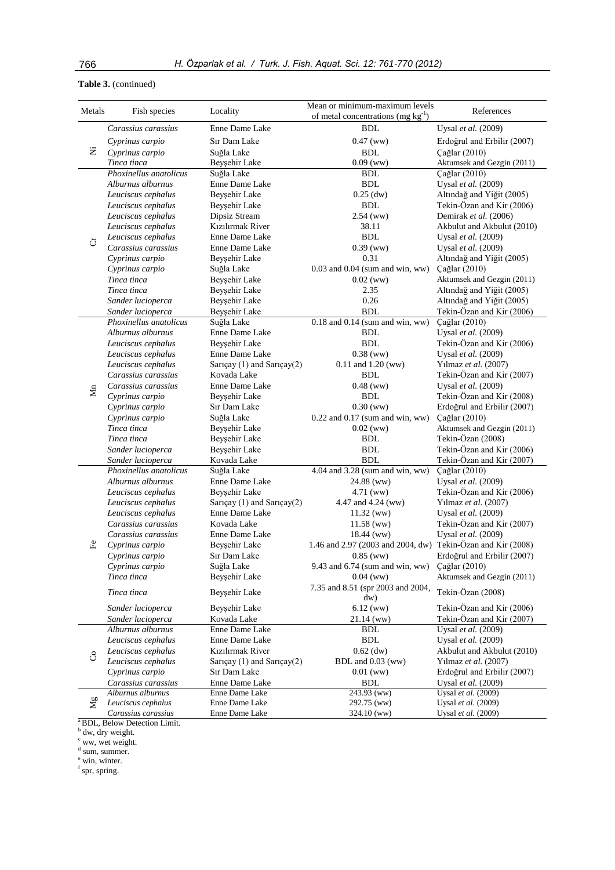## **Table 3.** (continued)

| Metals  | Fish species           | Locality                    | Mean or minimum-maximum levels                              | References                  |  |  |
|---------|------------------------|-----------------------------|-------------------------------------------------------------|-----------------------------|--|--|
|         |                        |                             | of metal concentrations (mg $kg^{-1}$ )                     |                             |  |  |
|         | Carassius carassius    | Enne Dame Lake              | BDL                                                         | Uysal et al. (2009)         |  |  |
| Ż       | Cyprinus carpio        | Sır Dam Lake                | $0.47$ (ww)                                                 | Erdoğrul and Erbilir (2007) |  |  |
|         | Cyprinus carpio        | Suğla Lake                  | <b>BDL</b>                                                  | Çağlar (2010)               |  |  |
|         | Tinca tinca            | Beyşehir Lake               | $0.09$ (ww)                                                 | Aktumsek and Gezgin (2011)  |  |  |
|         | Phoxinellus anatolicus | Suğla Lake                  | <b>BDL</b>                                                  | Çağlar (2010)               |  |  |
|         | Alburnus alburnus      | Enne Dame Lake              | BDL                                                         | Uysal et al. (2009)         |  |  |
|         | Leuciscus cephalus     | Beyşehir Lake               | $0.25$ (dw)                                                 | Altındağ and Yiğit (2005)   |  |  |
|         | Leuciscus cephalus     | Beysehir Lake               | <b>BDL</b>                                                  | Tekin-Özan and Kir (2006)   |  |  |
|         | Leuciscus cephalus     | Dipsiz Stream               | $2.54$ (ww)                                                 | Demirak et al. (2006)       |  |  |
|         | Leuciscus cephalus     | Kızılırmak River            | 38.11                                                       | Akbulut and Akbulut (2010)  |  |  |
|         | Leuciscus cephalus     | Enne Dame Lake              | <b>BDL</b>                                                  | Uysal et al. (2009)         |  |  |
| ð       | Carassius carassius    | Enne Dame Lake              | $0.39$ (ww)                                                 | Uysal et al. (2009)         |  |  |
|         | Cyprinus carpio        | Beyşehir Lake               | 0.31                                                        | Altındağ and Yiğit (2005)   |  |  |
|         | Cyprinus carpio        | Suğla Lake                  | $0.03$ and $0.04$ (sum and win, ww)                         | Çağlar (2010)               |  |  |
|         | Tinca tinca            | Beyşehir Lake               | $0.02$ (ww)                                                 | Aktumsek and Gezgin (2011)  |  |  |
|         | Tinca tinca            | Beyşehir Lake               | 2.35                                                        | Altındağ and Yiğit (2005)   |  |  |
|         | Sander lucioperca      | Beyşehir Lake               | 0.26                                                        | Altındağ and Yiğit (2005)   |  |  |
|         | Sander lucioperca      | Beyşehir Lake               | <b>BDL</b>                                                  | Tekin-Özan and Kir (2006)   |  |  |
|         | Phoxinellus anatolicus | Suğla Lake                  | $0.18$ and $0.14$ (sum and win, ww)                         | Çağlar (2010)               |  |  |
|         | Alburnus alburnus      | Enne Dame Lake              | <b>BDL</b>                                                  | Uysal et al. (2009)         |  |  |
|         | Leuciscus cephalus     | Beyşehir Lake               | <b>BDL</b>                                                  | Tekin-Özan and Kir (2006)   |  |  |
|         | Leuciscus cephalus     | Enne Dame Lake              | $0.38$ (ww)                                                 | Uysal et al. (2009)         |  |  |
|         | Leuciscus cephalus     | Sarıçay (1) and Sarıçay(2)  | $0.11$ and $1.20$ (ww)                                      | Yılmaz et al. (2007)        |  |  |
|         | Carassius carassius    | Kovada Lake                 | <b>BDL</b>                                                  | Tekin-Özan and Kir (2007)   |  |  |
|         | Carassius carassius    | Enne Dame Lake              | $0.48$ (ww)                                                 | Uysal et al. (2009)         |  |  |
| Mn      | Cyprinus carpio        | Beyşehir Lake               | <b>BDL</b>                                                  | Tekin-Özan and Kir (2008)   |  |  |
|         | Cyprinus carpio        | Sır Dam Lake                | $0.30$ (ww)                                                 | Erdoğrul and Erbilir (2007) |  |  |
|         | Cyprinus carpio        | Suğla Lake                  | $0.22$ and $0.17$ (sum and win, ww)                         | Cağlar (2010)               |  |  |
|         | Tinca tinca            | Beyşehir Lake               | $0.02$ (ww)                                                 | Aktumsek and Gezgin (2011)  |  |  |
|         | Tinca tinca            | Beyşehir Lake               | <b>BDL</b>                                                  | Tekin-Özan (2008)           |  |  |
|         | Sander lucioperca      | Beyşehir Lake               | <b>BDL</b>                                                  | Tekin-Özan and Kir (2006)   |  |  |
|         | Sander lucioperca      | Kovada Lake                 | <b>BDL</b>                                                  | Tekin-Özan and Kir (2007)   |  |  |
|         | Phoxinellus anatolicus | Suğla Lake                  | $4.04$ and $3.28$ (sum and win, ww)                         | Çağlar (2010)               |  |  |
|         | Alburnus alburnus      | Enne Dame Lake              | 24.88 (ww)                                                  | Uysal et al. (2009)         |  |  |
|         | Leuciscus cephalus     | Beyşehir Lake               | 4.71 (ww)                                                   | Tekin-Özan and Kir (2006)   |  |  |
|         | Leuciscus cephalus     | Sarıçay (1) and Sarıçay(2)  | 4.47 and 4.24 (ww)                                          | Yılmaz et al. (2007)        |  |  |
|         | Leuciscus cephalus     | Enne Dame Lake              | $11.32 \, (ww)$                                             | Uysal et al. (2009)         |  |  |
|         | Carassius carassius    | Kovada Lake                 | $11.58$ (ww)                                                | Tekin-Özan and Kir (2007)   |  |  |
|         | Carassius carassius    | Enne Dame Lake              | 18.44 (ww)                                                  | Uysal et al. (2009)         |  |  |
| ÊΨ      | Cyprinus carpio        | Beyşehir Lake               | 1.46 and 2.97 (2003 and 2004, dw) Tekin-Özan and Kir (2008) |                             |  |  |
|         | Cyprinus carpio        | Sır Dam Lake                | $0.85$ (ww)                                                 | Erdoğrul and Erbilir (2007) |  |  |
|         | Cyprinus carpio        | Suğla Lake                  | 9.43 and 6.74 (sum and win, ww)                             | Çağlar (2010)               |  |  |
|         | Tinca tinca            | Beyşehir Lake               | $0.04$ (ww)                                                 | Aktumsek and Gezgin (2011)  |  |  |
|         |                        |                             | 7.35 and 8.51 (spr 2003 and 2004,                           |                             |  |  |
|         | Tinca tinca            | Beyşehir Lake               | dw)                                                         | Tekin-Özan (2008)           |  |  |
|         | Sander lucioperca      | Beyşehir Lake               | 6.12(ww)                                                    | Tekin-Özan and Kir (2006)   |  |  |
|         | Sander lucioperca      | Kovada Lake                 | $21.14$ (ww)                                                | Tekin-Özan and Kir (2007)   |  |  |
|         | Alburnus alburnus      | Enne Dame Lake              | <b>BDL</b>                                                  | Uysal et al. (2009)         |  |  |
|         | Leuciscus cephalus     | Enne Dame Lake              | <b>BDL</b>                                                  | Uysal et al. (2009)         |  |  |
|         | Leuciscus cephalus     | Kızılırmak River            | $0.62$ (dw)                                                 | Akbulut and Akbulut (2010)  |  |  |
| රි      | Leuciscus cephalus     | Sarıçay (1) and Sarıçay (2) | BDL and 0.03 (ww)                                           | Yılmaz et al. (2007)        |  |  |
|         | Cyprinus carpio        | Sır Dam Lake                | $0.01$ (ww)                                                 | Erdoğrul and Erbilir (2007) |  |  |
|         | Carassius carassius    | Enne Dame Lake              | <b>BDL</b>                                                  | Uysal et al. (2009)         |  |  |
|         | Alburnus alburnus      | Enne Dame Lake              | 243.93 (ww)                                                 | Uysal et al. (2009)         |  |  |
| $M_{g}$ | Leuciscus cephalus     | Enne Dame Lake              | 292.75 (ww)                                                 | Uysal et al. (2009)         |  |  |
|         | Carassius carassius    | Enne Dame Lake              | 324.10 (ww)                                                 | Uysal et al. (2009)         |  |  |

 $\frac{a}{b}$ BDL, Below Detection Limit.<br>  $\frac{b}{b}$  dw, dry weight.

 $\int_{a}^{\infty}$  ww, wet weight.

<sup>e</sup> win, winter.<br><sup>f</sup> spr, spring.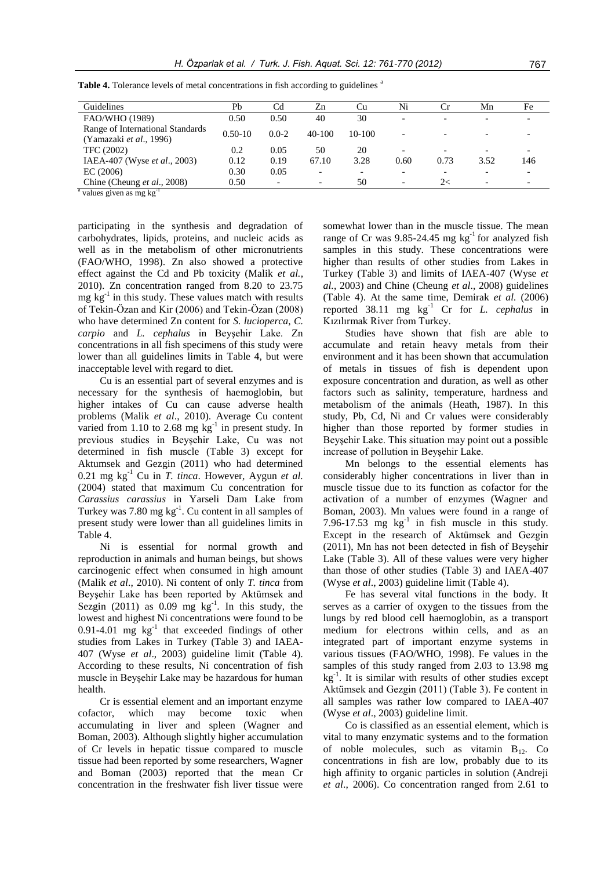| Guidelines                                                          | Pb          | Cd        | Zn                       | <b>Cu</b> | Ni                       | <b>Cr</b> | Mn   | Fe                       |
|---------------------------------------------------------------------|-------------|-----------|--------------------------|-----------|--------------------------|-----------|------|--------------------------|
| FAO/WHO (1989)                                                      | 0.50        | 0.50      | 40                       | 30        |                          |           |      |                          |
| Range of International Standards<br>(Yamazaki <i>et al.</i> , 1996) | $0.50 - 10$ | $0.0 - 2$ | $40-100$                 | 10-100    |                          |           |      |                          |
| TFC (2002)                                                          | 0.2         | 0.05      | 50                       | 20        |                          |           |      |                          |
| IAEA-407 (Wyse et al., 2003)                                        | 0.12        | 0.19      | 67.10                    | 3.28      | 0.60                     | 0.73      | 3.52 | 146                      |
| EC(2006)                                                            | 0.30        | 0.05      | $\overline{\phantom{a}}$ |           |                          |           |      |                          |
| Chine (Cheung et al., 2008)<br>.                                    | 0.50        |           | $\overline{\phantom{a}}$ | 50        | $\overline{\phantom{0}}$ | 2<        |      | $\overline{\phantom{0}}$ |

**Table 4.** Tolerance levels of metal concentrations in fish according to guidelines <sup>a</sup>

<sup>a</sup> values given as mg kg<sup>-1</sup>

participating in the synthesis and degradation of carbohydrates, lipids, proteins, and nucleic acids as well as in the metabolism of other micronutrients (FAO/WHO, 1998). Zn also showed a protective effect against the Cd and Pb toxicity (Malik *et al.*, 2010). Zn concentration ranged from 8.20 to 23.75 mg kg<sup>-1</sup> in this study. These values match with results of Tekin-Özan and Kir (2006) and Tekin-Özan (2008) who have determined Zn content for *S. lucioperca*, *C. carpio* and *L. cephalus* in Beyşehir Lake. Zn concentrations in all fish specimens of this study were lower than all guidelines limits in Table 4, but were inacceptable level with regard to diet.

Cu is an essential part of several enzymes and is necessary for the synthesis of haemoglobin, but higher intakes of Cu can cause adverse health problems (Malik *et al*., 2010). Average Cu content varied from 1.10 to 2.68 mg  $\text{kg}^{-1}$  in present study. In previous studies in Beyşehir Lake, Cu was not determined in fish muscle (Table 3) except for Aktumsek and Gezgin (2011) who had determined 0.21 mg kg-1 Cu in *T. tinca*. However, Aygun *et al.* (2004) stated that maximum Cu concentration for *Carassius carassius* in Yarseli Dam Lake from Turkey was 7.80 mg  $kg^{-1}$ . Cu content in all samples of present study were lower than all guidelines limits in Table 4.

Ni is essential for normal growth and reproduction in animals and human beings, but shows carcinogenic effect when consumed in high amount (Malik *et al*., 2010). Ni content of only *T. tinca* from Beyşehir Lake has been reported by Aktümsek and Sezgin (2011) as  $0.09$  mg  $\text{kg}^{-1}$ . In this study, the lowest and highest Ni concentrations were found to be  $0.91-4.01$  mg  $\text{kg}^{-1}$  that exceeded findings of other studies from Lakes in Turkey (Table 3) and IAEA-407 (Wyse *et al*., 2003) guideline limit (Table 4). According to these results, Ni concentration of fish muscle in Beyşehir Lake may be hazardous for human health.

Cr is essential element and an important enzyme cofactor, which may become toxic when accumulating in liver and spleen (Wagner and Boman, 2003). Although slightly higher accumulation of Cr levels in hepatic tissue compared to muscle tissue had been reported by some researchers, Wagner and Boman (2003) reported that the mean Cr concentration in the freshwater fish liver tissue were somewhat lower than in the muscle tissue. The mean range of Cr was  $9.85$ -24.45 mg  $kg^{-1}$  for analyzed fish samples in this study. These concentrations were higher than results of other studies from Lakes in Turkey (Table 3) and limits of IAEA-407 (Wyse *et al.*, 2003) and Chine (Cheung *et al*., 2008) guidelines (Table 4). At the same time, Demirak *et al.* (2006) reported  $38.11$  mg kg<sup>-1</sup> Cr for *L. cephalus* in Kızılırmak River from Turkey.

Studies have shown that fish are able to accumulate and retain heavy metals from their environment and it has been shown that accumulation of metals in tissues of fish is dependent upon exposure concentration and duration, as well as other factors such as salinity, temperature, hardness and metabolism of the animals (Heath, 1987). In this study, Pb, Cd, Ni and Cr values were considerably higher than those reported by former studies in Beyşehir Lake. This situation may point out a possible increase of pollution in Beyşehir Lake.

Mn belongs to the essential elements has considerably higher concentrations in liver than in muscle tissue due to its function as cofactor for the activation of a number of enzymes (Wagner and Boman, 2003). Mn values were found in a range of 7.96-17.53 mg  $kg^{-1}$  in fish muscle in this study. Except in the research of Aktümsek and Gezgin (2011), Mn has not been detected in fish of Beyşehir Lake (Table 3). All of these values were very higher than those of other studies (Table 3) and IAEA-407 (Wyse *et al*., 2003) guideline limit (Table 4).

Fe has several vital functions in the body. It serves as a carrier of oxygen to the tissues from the lungs by red blood cell haemoglobin, as a transport medium for electrons within cells, and as an integrated part of important enzyme systems in various tissues (FAO/WHO, 1998). Fe values in the samples of this study ranged from 2.03 to 13.98 mg kg<sup>-1</sup>. It is similar with results of other studies except Aktümsek and Gezgin (2011) (Table 3). Fe content in all samples was rather low compared to IAEA-407 (Wyse *et al*., 2003) guideline limit.

Co is classified as an essential element, which is vital to many enzymatic systems and to the formation of noble molecules, such as vitamin  $B_{12}$ . Co concentrations in fish are low, probably due to its high affinity to organic particles in solution (Andreji *et al*., 2006). Co concentration ranged from 2.61 to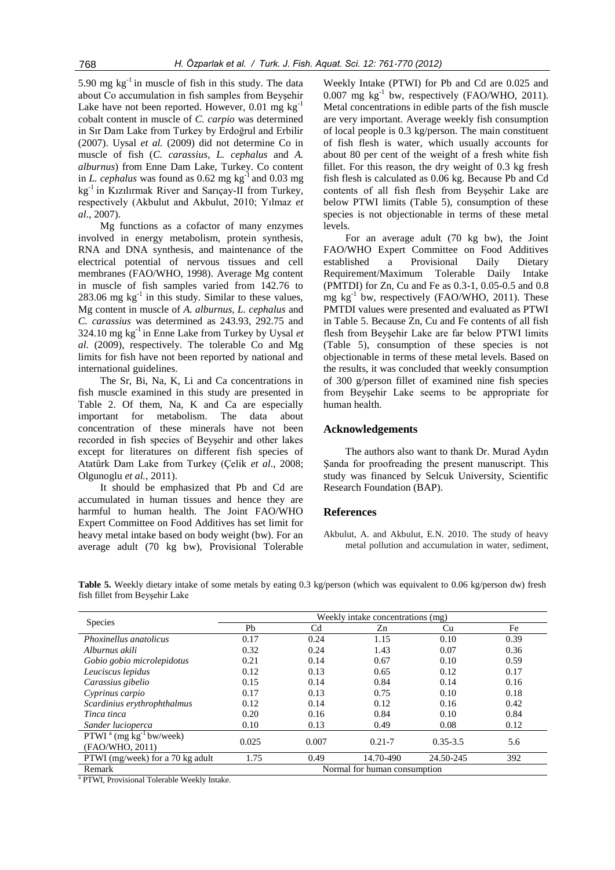5.90 mg  $kg^{-1}$  in muscle of fish in this study. The data about Co accumulation in fish samples from Beyşehir Lake have not been reported. However,  $0.01$  mg kg<sup>-1</sup> cobalt content in muscle of *C. carpio* was determined in Sır Dam Lake from Turkey by Erdoğrul and Erbilir (2007). Uysal *et al.* (2009) did not determine Co in muscle of fish (*C. carassius*, *L. cephalus* and *A. alburnus*) from Enne Dam Lake, Turkey. Co content in *L. cephalus* was found as  $0.62$  mg kg<sup>-1</sup> and  $0.03$  mg kg-1 in Kızılırmak River and Sarıçay-II from Turkey, respectively (Akbulut and Akbulut, 2010; Yılmaz *et al*., 2007).

Mg functions as a cofactor of many enzymes involved in energy metabolism, protein synthesis, RNA and DNA synthesis, and maintenance of the electrical potential of nervous tissues and cell membranes (FAO/WHO, 1998). Average Mg content in muscle of fish samples varied from 142.76 to  $283.06$  mg  $kg^{-1}$  in this study. Similar to these values, Mg content in muscle of *A. alburnus, L. cephalus* and *C. carassius* was determined as 243.93, 292.75 and 324.10 mg  $kg^{-1}$  in Enne Lake from Turkey by Uysal *et al.* (2009), respectively. The tolerable Co and Mg limits for fish have not been reported by national and international guidelines.

The Sr, Bi, Na, K, Li and Ca concentrations in fish muscle examined in this study are presented in Table 2. Of them, Na, K and Ca are especially important for metabolism. The data about concentration of these minerals have not been recorded in fish species of Beyşehir and other lakes except for literatures on different fish species of Atatürk Dam Lake from Turkey (Çelik *et al*., 2008; Olgunoglu *et al.*, 2011).

It should be emphasized that Pb and Cd are accumulated in human tissues and hence they are harmful to human health. The Joint FAO/WHO Expert Committee on Food Additives has set limit for heavy metal intake based on body weight (bw). For an average adult (70 kg bw), Provisional Tolerable

Weekly Intake (PTWI) for Pb and Cd are 0.025 and  $0.007$  mg kg<sup>-1</sup> bw, respectively (FAO/WHO, 2011). Metal concentrations in edible parts of the fish muscle are very important. Average weekly fish consumption of local people is 0.3 kg/person. The main constituent of fish flesh is water, which usually accounts for about 80 per cent of the weight of a fresh white fish fillet. For this reason, the dry weight of 0.3 kg fresh fish flesh is calculated as 0.06 kg. Because Pb and Cd contents of all fish flesh from Beyşehir Lake are below PTWI limits (Table 5), consumption of these species is not objectionable in terms of these metal levels.

For an average adult (70 kg bw), the Joint FAO/WHO Expert Committee on Food Additives established a Provisional Daily Dietary Requirement/Maximum Tolerable Daily Intake (PMTDI) for Zn, Cu and Fe as 0.3-1, 0.05-0.5 and 0.8 mg kg-1 bw, respectively (FAO/WHO, 2011). These PMTDI values were presented and evaluated as PTWI in Table 5. Because Zn, Cu and Fe contents of all fish flesh from Beyşehir Lake are far below PTWI limits (Table 5), consumption of these species is not objectionable in terms of these metal levels. Based on the results, it was concluded that weekly consumption of 300 g/person fillet of examined nine fish species from Beyşehir Lake seems to be appropriate for human health.

### **Acknowledgements**

The authors also want to thank Dr. Murad Aydın Sanda for proofreading the present manuscript. This study was financed by Selcuk University, Scientific Research Foundation (BAP).

#### **References**

Akbulut, A. and Akbulut, E.N. 2010. The study of heavy metal pollution and accumulation in water, sediment,

**Table 5.** Weekly dietary intake of some metals by eating 0.3 kg/person (which was equivalent to 0.06 kg/person dw) fresh fish fillet from Beyşehir Lake

|                                         | Weekly intake concentrations (mg) |                |                              |              |      |  |  |  |
|-----------------------------------------|-----------------------------------|----------------|------------------------------|--------------|------|--|--|--|
| <b>Species</b>                          | Ph                                | C <sub>d</sub> | Zn                           | Cu           | Fe   |  |  |  |
| <i>Phoxinellus anatolicus</i>           | 0.17                              | 0.24           | 1.15                         | 0.10         | 0.39 |  |  |  |
| Alburnus akili                          | 0.32                              | 0.24           | 1.43                         | 0.07         | 0.36 |  |  |  |
| Gobio gobio microlepidotus              | 0.21                              | 0.14           | 0.67                         | 0.10         | 0.59 |  |  |  |
| Leuciscus lepidus                       | 0.12                              | 0.13           | 0.65                         | 0.12         | 0.17 |  |  |  |
| Carassius gibelio                       | 0.15                              | 0.14           | 0.84                         | 0.14         | 0.16 |  |  |  |
| Cyprinus carpio                         | 0.17                              | 0.13           | 0.75                         | 0.10         | 0.18 |  |  |  |
| Scardinius erythrophthalmus             | 0.12                              | 0.14           | 0.12                         | 0.16         | 0.42 |  |  |  |
| Tinca tinca                             | 0.20                              | 0.16           | 0.84                         | 0.10         | 0.84 |  |  |  |
| Sander lucioperca                       | 0.10                              | 0.13           | 0.49                         | 0.08         | 0.12 |  |  |  |
| PTWI $^a$ (mg kg <sup>-1</sup> bw/week) | 0.025                             | 0.007          | $0.21 - 7$                   | $0.35 - 3.5$ | 5.6  |  |  |  |
| (FAO/WHO, 2011)                         |                                   |                |                              |              |      |  |  |  |
| PTWI (mg/week) for a 70 kg adult        | 1.75                              | 0.49           | 14.70-490                    | 24.50-245    | 392  |  |  |  |
| Remark                                  |                                   |                | Normal for human consumption |              |      |  |  |  |

<sup>a</sup> PTWI, Provisional Tolerable Weekly Intake.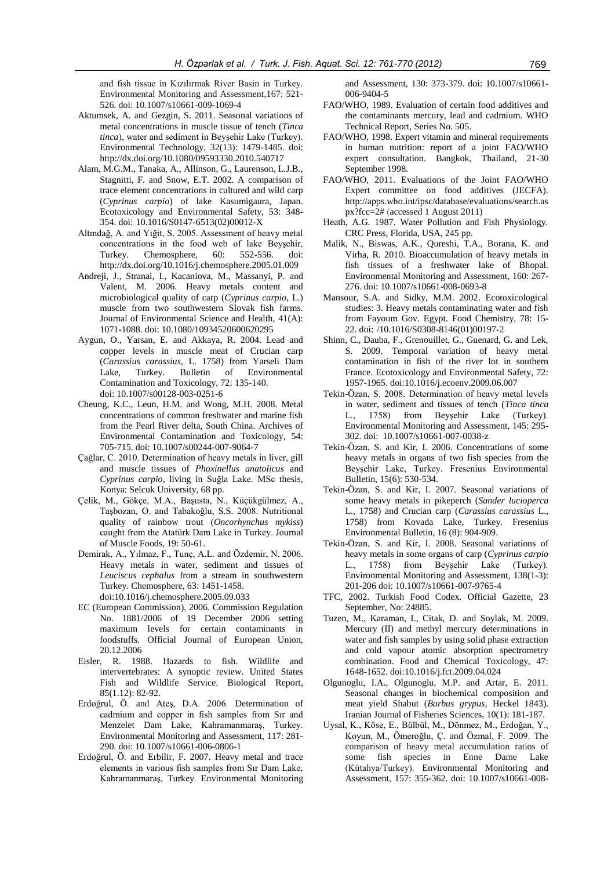and fish tissue in Kızılırmak River Basin in Turkey. Environmental Monitoring and Assessment,167: 521- 526. doi: 10.1007/s10661-009-1069-4

- Aktumsek, A. and Gezgin, S. 2011. Seasonal variations of metal concentrations in muscle tissue of tench (*Tinca tinca*), water and sediment in Beyşehir Lake (Turkey). Environmental Technology, 32(13): 1479-1485. doi: <http://dx.doi.org/10.1080/09593330.2010.540717>
- Alam, M.G.M., Tanaka, A., Allinson, G., Laurenson, L.J.B., Stagnitti, F. and Snow, E.T. 2002. A comparison of trace element concentrations in cultured and wild carp (*Cyprinus carpio*) of lake Kasumigaura, Japan. Ecotoxicology and Environmental Safety, 53: 348- 354. doi: 10.1016/S0147-6513(02)00012-X
- Altındağ, A. and Yiğit, S. 2005. Assessment of heavy metal concentrations in the food web of lake Beyşehir, Turkey. Chemosphere, 60: 552-556. doi: http://dx.doi.org/10.1016/j.chemosphere.2005.01.009
- Andreji, J., Stranai, I., Kacaniova, M., Massanyi, P. and Valent, M. 2006. Heavy metals content and microbiological quality of carp (*Cyprinus carpio*, L.) muscle from two southwestern Slovak fish farms. Journal of Environmental Science and Health, 41(A): 1071-1088. doi[: 10.1080/10934520600620295](http://dx.doi.org/10.1080/10934520600620295)
- Aygun, O., Yarsan, E. and Akkaya, R. 2004. Lead and copper levels in muscle meat of Crucian carp (*Carassius carassius*, L. 1758) from Yarseli Dam Lake, Turkey. Bulletin of Environmental Contamination and Toxicology, 72: 135-140. doi: 10.1007/s00128-003-0251-6
- Cheung, K.C., Leun, H.M. and Wong, M.H. 2008. Metal concentrations of common freshwater and marine fish from the Pearl River delta, South China. Archives of Environmental Contamination and Toxicology, 54: 705-715. doi: 10.1007/s00244-007-9064-7
- Çağlar, C. 2010. Determination of heavy metals in liver, gill and muscle tissues of *Phoxinellus anatolicus* and *Cyprinus carpio*, living in Suğla Lake. MSc thesis, Konya: Selcuk University, 68 pp.
- Çelik, M., Gökçe, M.A., Başusta, N., Küçükgülmez, A., Taşbozan, O. and Tabakoğlu, S.S. 2008. Nutritional quality of rainbow trout (*Oncorhynchus mykiss*) caught from the Atatürk Dam Lake in Turkey. Journal of Muscle Foods, 19: 50-61.
- Demirak, A., Yılmaz, F., Tunç, A.L. and Özdemir, N. 2006. Heavy metals in water, sediment and tissues of *Leuciscus cephalus* from a stream in southwestern Turkey. Chemosphere, 63: 1451-1458. doi:10.1016/j.chemosphere.2005.09.033
- EC (European Commission), 2006. Commission Regulation No. 1881/2006 of 19 December 2006 setting maximum levels for certain contaminants in foodstuffs. Official Journal of European Union, 20.12.2006
- Eisler, R. 1988. Hazards to fish. Wildlife and intervertebrates: A synoptic review. United States Fish and Wildlife Service. Biological Report, 85(1.12): 82-92.
- Erdoğrul, Ö. and Ateş, D.A. 2006. Determination of cadmium and copper in fish samples from Sır and Menzelet Dam Lake, Kahramanmaraş, Turkey. Environmental Monitoring and Assessment, 117: 281- 290. doi: 10.1007/s10661-006-0806-1
- Erdoğrul, Ö. and Erbilir, F. 2007. Heavy metal and trace elements in various fish samples from Sır Dam Lake, Kahramanmaraş, Turkey. Environmental Monitoring

and Assessment, 130: 373-379. doi: 10.1007/s10661- 006-9404-5

- FAO/WHO, 1989. Evaluation of certain food additives and the contaminants mercury, lead and cadmium. WHO Technical Report, Series No. 505.
- FAO/WHO, 1998. Expert vitamin and mineral requirements in human nutrition: report of a joint FAO/WHO expert consultation. Bangkok, Thailand, 21-30 September 1998.
- FAO/WHO, 2011. Evaluations of the Joint FAO/WHO Expert committee on food additives (JECFA). http://apps.who.int/ipsc/database/evaluations/search.as px?fcc=2# (accessed 1 August 2011)
- Heath, A.G. 1987. Water Pollution and Fish Physiology. CRC Press, Florida, USA, 245 pp.
- Malik, N., Biswas, A.K., Qureshi, T.A., Borana, K. and Virha, R. 2010. Bioaccumulation of heavy metals in fish tissues of a freshwater lake of Bhopal. Environmental Monitoring and Assessment, 160: 267- 276. doi: 10.1007/s10661-008-0693-8
- Mansour, S.A. and Sidky, M.M. 2002. Ecotoxicological studies: 3. Heavy metals contaminating water and fish from Fayoum Gov. Egypt. Food Chemistry, 78: 15- 22. doi: /10.1016/S0308-8146(01)00197-2
- Shinn, C., Dauba, F., Grenouillet, G., Guenard, G. and Lek, S. 2009. Temporal variation of heavy metal contamination in fish of the river lot in southern France. Ecotoxicology and Environmental Safety, 72: 1957-1965. doi:10.1016/j.ecoenv.2009.06.007
- Tekin-Özan, S. 2008. Determination of heavy metal levels in water, sediment and tissues of tench (*Tinca tinca* L., 1758) from Beyşehir Lake (Turkey). Environmental Monitoring and Assessment, 145: 295- 302. doi: 10.1007/s10661-007-0038-z
- Tekin-Özan, S. and Kir, I. 2006. Concentrations of some heavy metals in organs of two fish species from the Beyşehir Lake, Turkey. Fresenius Environmental Bulletin, 15(6): 530-534.
- Tekin-Özan, S. and Kir, I. 2007. Seasonal variations of some heavy metals in pikeperch (*Sander lucioperca* L., 1758) and Crucian carp (*Carassius carassius* L., 1758) from Kovada Lake, Turkey. Fresenius Environmental Bulletin, 16 (8): 904-909.
- Tekin-Özan, S. and Kir, I. 2008. Seasonal variations of heavy metals in some organs of carp (*Cyprinus carpio* L., 1758) from Beyşehir Lake (Turkey). Environmental Monitoring and Assessment, 138(1-3): 201-206 doi: 10.1007/s10661-007-9765-4
- TFC, 2002. Turkish Food Codex. Official Gazette, 23 September, No: 24885.
- Tuzen, M., Karaman, I., Citak, D. and Soylak, M. 2009. Mercury (II) and methyl mercury determinations in water and fish samples by using solid phase extraction and cold vapour atomic absorption spectrometry combination. Food and Chemical Toxicology, 47: 1648-1652. doi:10.1016/j.fct.2009.04.024
- Olgunoglu, I.A., Olgunoglu, M.P. and Artar, E. 2011. Seasonal changes in biochemical composition and meat yield Shabut (*Barbus grypus*, Heckel 1843). Iranian Journal of Fisheries Sciences, 10(1): 181-187.
- Uysal, K., Köse, E., Bülbül, M., Dönmez, M., Erdoğan, Y., Koyun, M., Ömeroğlu, Ç. and Özmal, F. 2009. The comparison of heavy metal accumulation ratios of some fish species in Enne Dame Lake (Kütahya/Turkey). Environmental Monitoring and Assessment, 157: 355-362. doi: 10.1007/s10661-008-